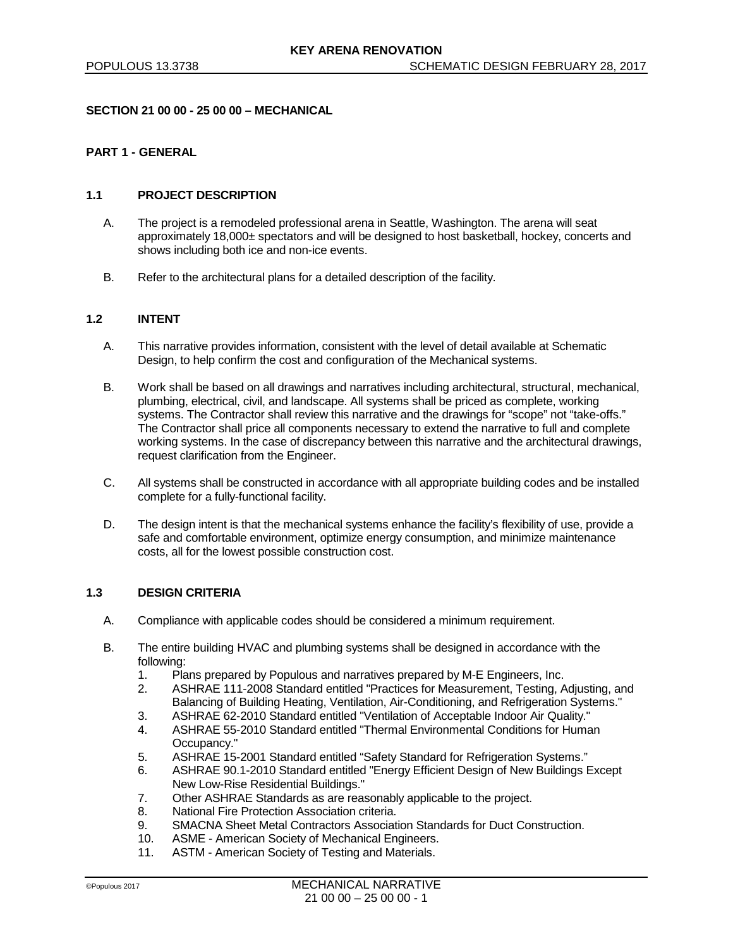### **SECTION 21 00 00 - 25 00 00 – MECHANICAL**

## **PART 1 - GENERAL**

### **1.1 PROJECT DESCRIPTION**

- A. The project is a remodeled professional arena in Seattle, Washington. The arena will seat approximately 18,000± spectators and will be designed to host basketball, hockey, concerts and shows including both ice and non-ice events.
- B. Refer to the architectural plans for a detailed description of the facility.

## **1.2 INTENT**

- A. This narrative provides information, consistent with the level of detail available at Schematic Design, to help confirm the cost and configuration of the Mechanical systems.
- B. Work shall be based on all drawings and narratives including architectural, structural, mechanical, plumbing, electrical, civil, and landscape. All systems shall be priced as complete, working systems. The Contractor shall review this narrative and the drawings for "scope" not "take-offs." The Contractor shall price all components necessary to extend the narrative to full and complete working systems. In the case of discrepancy between this narrative and the architectural drawings, request clarification from the Engineer.
- C. All systems shall be constructed in accordance with all appropriate building codes and be installed complete for a fully-functional facility.
- D. The design intent is that the mechanical systems enhance the facility's flexibility of use, provide a safe and comfortable environment, optimize energy consumption, and minimize maintenance costs, all for the lowest possible construction cost.

# **1.3 DESIGN CRITERIA**

- A. Compliance with applicable codes should be considered a minimum requirement.
- B. The entire building HVAC and plumbing systems shall be designed in accordance with the following:
	- 1. Plans prepared by Populous and narratives prepared by M-E Engineers, Inc.
	- 2. ASHRAE 111-2008 Standard entitled "Practices for Measurement, Testing, Adjusting, and Balancing of Building Heating, Ventilation, Air-Conditioning, and Refrigeration Systems."
	- 3. ASHRAE 62-2010 Standard entitled "Ventilation of Acceptable Indoor Air Quality."
	- 4. ASHRAE 55-2010 Standard entitled "Thermal Environmental Conditions for Human Occupancy."
	- 5. ASHRAE 15-2001 Standard entitled "Safety Standard for Refrigeration Systems."
	- 6. ASHRAE 90.1-2010 Standard entitled "Energy Efficient Design of New Buildings Except New Low-Rise Residential Buildings."
	- 7. Other ASHRAE Standards as are reasonably applicable to the project.
	- 8. National Fire Protection Association criteria.
	- 9. SMACNA Sheet Metal Contractors Association Standards for Duct Construction.<br>10. ASME American Society of Mechanical Engineers.
	- ASME American Society of Mechanical Engineers.
	- 11. ASTM American Society of Testing and Materials.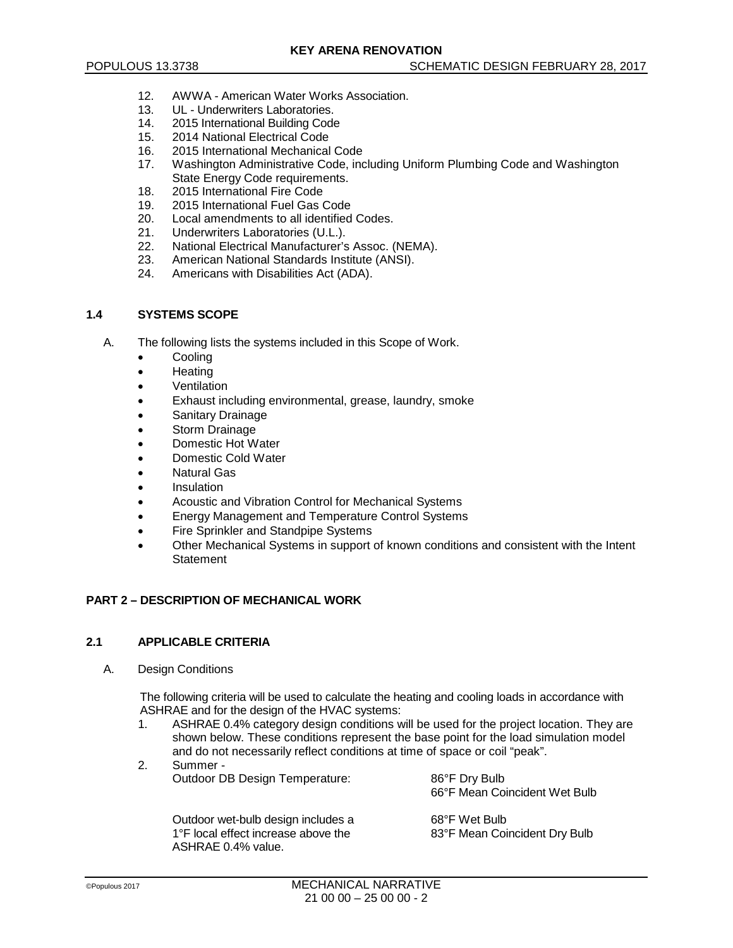- 12. AWWA American Water Works Association.
- 13. UL Underwriters Laboratories.
- 14. 2015 International Building Code<br>15. 2014 National Flectrical Code
- 15. 2014 National Electrical Code<br>16. 2015 International Mechanical
- 2015 International Mechanical Code
- 17. Washington Administrative Code, including Uniform Plumbing Code and Washington State Energy Code requirements.
- 18. 2015 International Fire Code
- 19. 2015 International Fuel Gas Code
- 20. Local amendments to all identified Codes.
- 21. Underwriters Laboratories (U.L.).
- 22. National Electrical Manufacturer's Assoc. (NEMA).<br>23. American National Standards Institute (ANSI).
- 23. American National Standards Institute (ANSI).<br>24 Americans with Disabilities Act (ADA)
- Americans with Disabilities Act (ADA).

## **1.4 SYSTEMS SCOPE**

- A. The following lists the systems included in this Scope of Work.
	- **Cooling**
	- Heating
	- **Ventilation**
	- Exhaust including environmental, grease, laundry, smoke
	- Sanitary Drainage
	- Storm Drainage
	- Domestic Hot Water
	- Domestic Cold Water
	- Natural Gas
	- **Insulation**
	- Acoustic and Vibration Control for Mechanical Systems
	- Energy Management and Temperature Control Systems
	- Fire Sprinkler and Standpipe Systems
	- Other Mechanical Systems in support of known conditions and consistent with the Intent **Statement**

## **PART 2 – DESCRIPTION OF MECHANICAL WORK**

## **2.1 APPLICABLE CRITERIA**

A. Design Conditions

The following criteria will be used to calculate the heating and cooling loads in accordance with ASHRAE and for the design of the HVAC systems:

- 1. ASHRAE 0.4% category design conditions will be used for the project location. They are shown below. These conditions represent the base point for the load simulation model and do not necessarily reflect conditions at time of space or coil "peak".
- 2. Summer Outdoor DB Design Temperature: 86°F Dry Bulb

66°F Mean Coincident Wet Bulb

| Outdoor wet-bulb design includes a  | 68°F Wet Bulb                 |
|-------------------------------------|-------------------------------|
| 1°F local effect increase above the | 83°F Mean Coincident Dry Bulb |
| ASHRAE 0.4% value.                  |                               |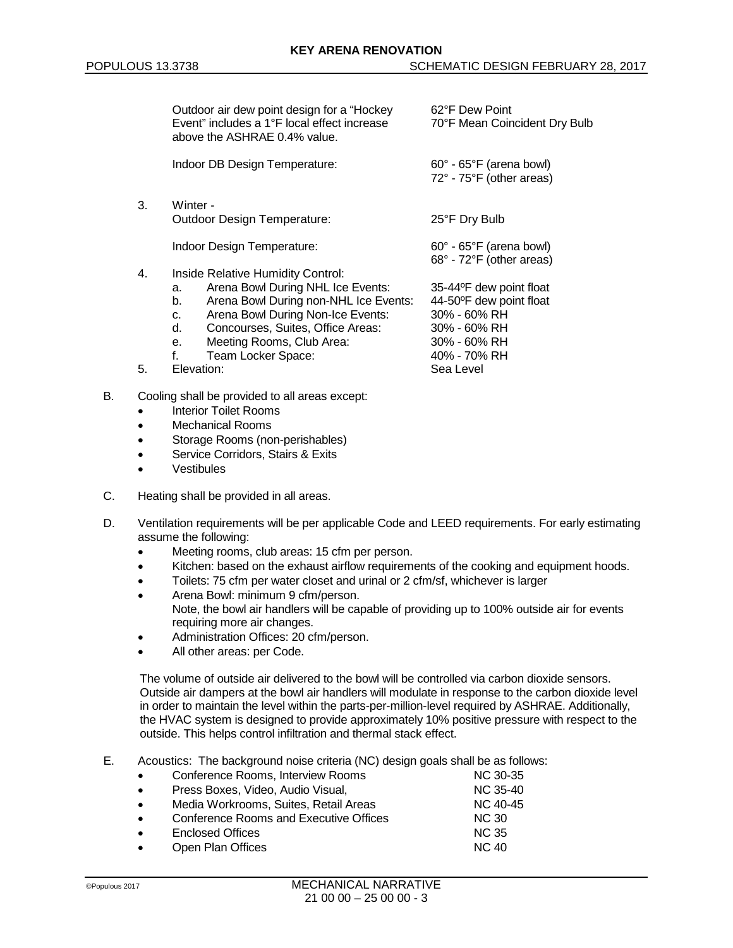|    | Outdoor air dew point design for a "Hockey"<br>Event" includes a 1°F local effect increase<br>above the ASHRAE 0.4% value. | 62°F Dew Point<br>70°F Mean Coincident Dry Bulb                    |  |
|----|----------------------------------------------------------------------------------------------------------------------------|--------------------------------------------------------------------|--|
|    | Indoor DB Design Temperature:                                                                                              | $60^\circ$ - $65^\circ$ F (arena bowl)<br>72° - 75°F (other areas) |  |
| 3. | Winter -                                                                                                                   |                                                                    |  |
|    | Outdoor Design Temperature:                                                                                                | 25°F Dry Bulb                                                      |  |
|    | Indoor Design Temperature:                                                                                                 | $60^\circ$ - $65^\circ$ F (arena bowl)<br>68° - 72°F (other areas) |  |
| 4. | Inside Relative Humidity Control:                                                                                          |                                                                    |  |
|    | Arena Bowl During NHL Ice Events:<br>a.                                                                                    | 35-44°F dew point float                                            |  |
|    | Arena Bowl During non-NHL Ice Events:<br>b.                                                                                | 44-50°F dew point float                                            |  |
|    | Arena Bowl During Non-Ice Events:<br>C.                                                                                    | 30% - 60% RH                                                       |  |
|    | d.<br>Concourses, Suites, Office Areas:                                                                                    | 30% - 60% RH                                                       |  |
|    | Meeting Rooms, Club Area:<br>е.                                                                                            | 30% - 60% RH                                                       |  |
|    | f.<br>Team Locker Space:                                                                                                   | 40% - 70% RH                                                       |  |
| 5. | Elevation:                                                                                                                 | Sea Level                                                          |  |
|    |                                                                                                                            |                                                                    |  |

- B. Cooling shall be provided to all areas except:
	- Interior Toilet Rooms
	- Mechanical Rooms
	- Storage Rooms (non-perishables)
	- Service Corridors, Stairs & Exits
	- **Vestibules**
- C. Heating shall be provided in all areas.
- D. Ventilation requirements will be per applicable Code and LEED requirements. For early estimating assume the following:
	- Meeting rooms, club areas: 15 cfm per person.
	- Kitchen: based on the exhaust airflow requirements of the cooking and equipment hoods.
	- Toilets: 75 cfm per water closet and urinal or 2 cfm/sf, whichever is larger
	- Arena Bowl: minimum 9 cfm/person. Note, the bowl air handlers will be capable of providing up to 100% outside air for events requiring more air changes.
	- Administration Offices: 20 cfm/person.
	- All other areas: per Code.

The volume of outside air delivered to the bowl will be controlled via carbon dioxide sensors. Outside air dampers at the bowl air handlers will modulate in response to the carbon dioxide level in order to maintain the level within the parts-per-million-level required by ASHRAE. Additionally, the HVAC system is designed to provide approximately 10% positive pressure with respect to the outside. This helps control infiltration and thermal stack effect.

E. Acoustics: The background noise criteria (NC) design goals shall be as follows:

| $\bullet$ | Conference Rooms, Interview Rooms      | NC 30-35     |
|-----------|----------------------------------------|--------------|
| $\bullet$ | Press Boxes, Video, Audio Visual,      | NC 35-40     |
| $\bullet$ | Media Workrooms, Suites, Retail Areas  | NC 40-45     |
| $\bullet$ | Conference Rooms and Executive Offices | <b>NC 30</b> |
| $\bullet$ | <b>Enclosed Offices</b>                | <b>NC 35</b> |
| $\bullet$ | Open Plan Offices                      | <b>NC 40</b> |
|           |                                        |              |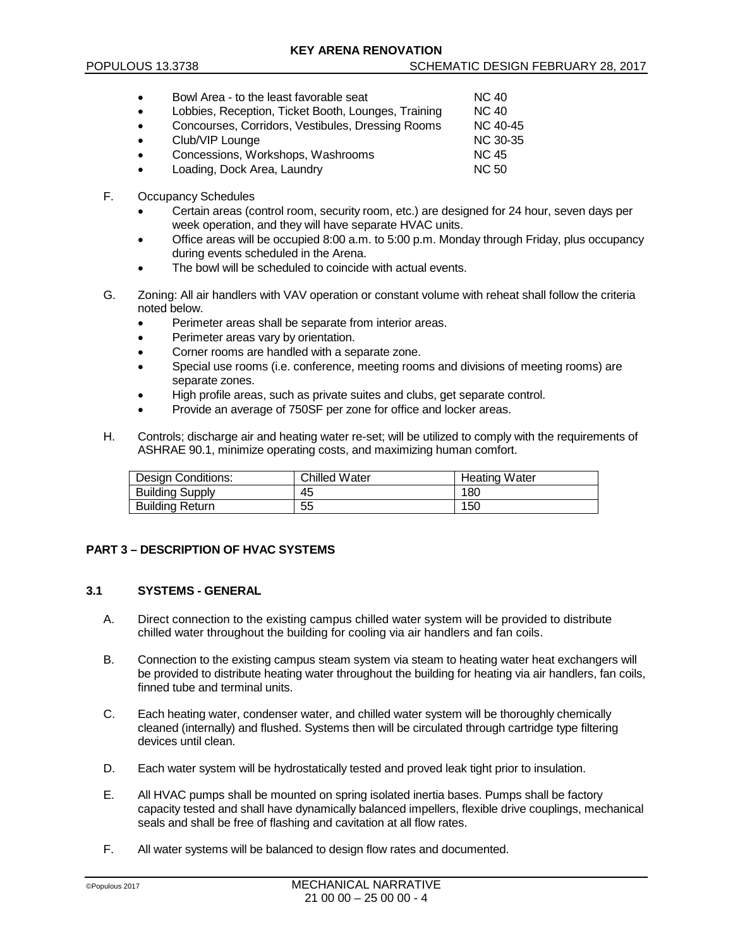- Bowl Area to the least favorable seat NC 40 Lobbies, Reception, Ticket Booth, Lounges, Training MC 40<br>Concourses, Corridors, Vestibules, Dressing Rooms NC 40-45 Concourses, Corridors, Vestibules, Dressing Rooms Club/VIP Lounge **NC 30-35** • Concessions, Workshops, Washrooms NC 45 **Loading, Dock Area, Laundry NC 50**
- F. Occupancy Schedules
	- Certain areas (control room, security room, etc.) are designed for 24 hour, seven days per week operation, and they will have separate HVAC units.
	- Office areas will be occupied 8:00 a.m. to 5:00 p.m. Monday through Friday, plus occupancy during events scheduled in the Arena.
	- The bowl will be scheduled to coincide with actual events.
- G. Zoning: All air handlers with VAV operation or constant volume with reheat shall follow the criteria noted below.
	- Perimeter areas shall be separate from interior areas.
	- Perimeter areas vary by orientation.
	- Corner rooms are handled with a separate zone.
	- Special use rooms (i.e. conference, meeting rooms and divisions of meeting rooms) are separate zones.
	- High profile areas, such as private suites and clubs, get separate control.
	- Provide an average of 750SF per zone for office and locker areas.
- H. Controls; discharge air and heating water re-set; will be utilized to comply with the requirements of ASHRAE 90.1, minimize operating costs, and maximizing human comfort.

| <b>Design Conditions:</b> | <b>Chilled Water</b> | <b>Heating Water</b> |
|---------------------------|----------------------|----------------------|
| <b>Building Supply</b>    | 45                   | 180                  |
| <b>Building Return</b>    | 55                   | 150                  |

## **PART 3 – DESCRIPTION OF HVAC SYSTEMS**

### **3.1 SYSTEMS - GENERAL**

- A. Direct connection to the existing campus chilled water system will be provided to distribute chilled water throughout the building for cooling via air handlers and fan coils.
- B. Connection to the existing campus steam system via steam to heating water heat exchangers will be provided to distribute heating water throughout the building for heating via air handlers, fan coils, finned tube and terminal units.
- C. Each heating water, condenser water, and chilled water system will be thoroughly chemically cleaned (internally) and flushed. Systems then will be circulated through cartridge type filtering devices until clean.
- D. Each water system will be hydrostatically tested and proved leak tight prior to insulation.
- E. All HVAC pumps shall be mounted on spring isolated inertia bases. Pumps shall be factory capacity tested and shall have dynamically balanced impellers, flexible drive couplings, mechanical seals and shall be free of flashing and cavitation at all flow rates.
- F. All water systems will be balanced to design flow rates and documented.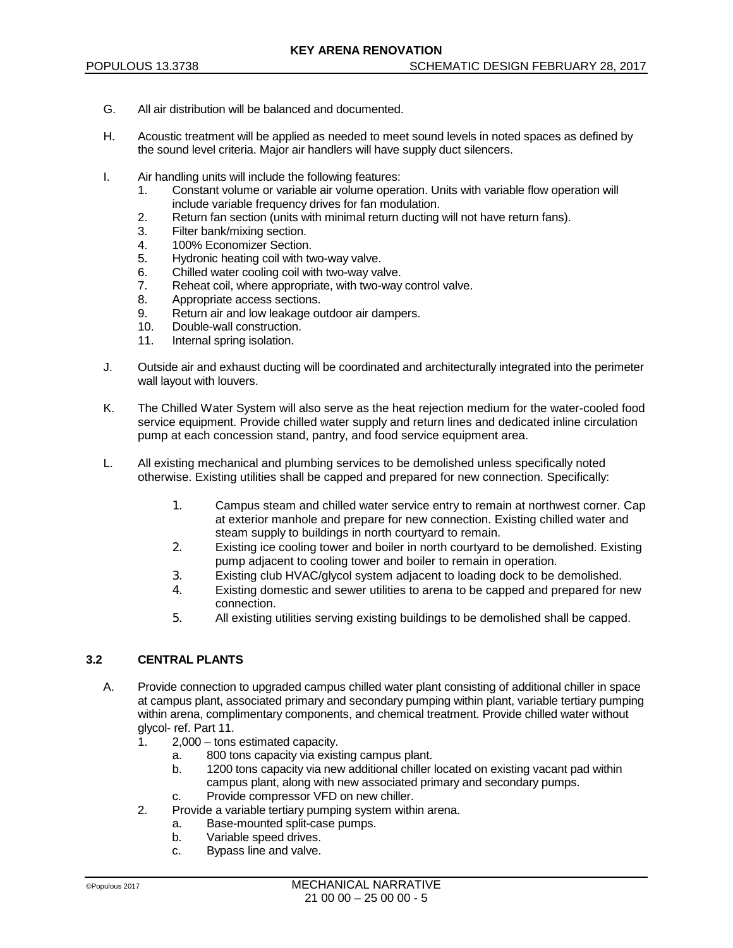- G. All air distribution will be balanced and documented.
- H. Acoustic treatment will be applied as needed to meet sound levels in noted spaces as defined by the sound level criteria. Major air handlers will have supply duct silencers.
- I. Air handling units will include the following features:
	- 1. Constant volume or variable air volume operation. Units with variable flow operation will include variable frequency drives for fan modulation.
	- 2. Return fan section (units with minimal return ducting will not have return fans).
	- 3. Filter bank/mixing section.<br>4. 100% Economizer Section
	- 100% Economizer Section.
	- 5. Hydronic heating coil with two-way valve.
	- 6. Chilled water cooling coil with two-way valve.<br>7. Reheat coil, where appropriate, with two-way
	- 7. Reheat coil, where appropriate, with two-way control valve.
	- Appropriate access sections.
	- 9. Return air and low leakage outdoor air dampers.
	- 10. Double-wall construction.
	- 11. Internal spring isolation.
- J. Outside air and exhaust ducting will be coordinated and architecturally integrated into the perimeter wall layout with louvers.
- K. The Chilled Water System will also serve as the heat rejection medium for the water-cooled food service equipment. Provide chilled water supply and return lines and dedicated inline circulation pump at each concession stand, pantry, and food service equipment area.
- L. All existing mechanical and plumbing services to be demolished unless specifically noted otherwise. Existing utilities shall be capped and prepared for new connection. Specifically:
	- 1. Campus steam and chilled water service entry to remain at northwest corner. Cap at exterior manhole and prepare for new connection. Existing chilled water and steam supply to buildings in north courtyard to remain.
	- 2. Existing ice cooling tower and boiler in north courtyard to be demolished. Existing pump adjacent to cooling tower and boiler to remain in operation.
	- 3. Existing club HVAC/glycol system adjacent to loading dock to be demolished.
	- 4. Existing domestic and sewer utilities to arena to be capped and prepared for new connection.
	- 5. All existing utilities serving existing buildings to be demolished shall be capped.

## **3.2 CENTRAL PLANTS**

- A. Provide connection to upgraded campus chilled water plant consisting of additional chiller in space at campus plant, associated primary and secondary pumping within plant, variable tertiary pumping within arena, complimentary components, and chemical treatment. Provide chilled water without glycol- ref. Part 11.
	- 1. 2,000 tons estimated capacity.
		- a. 800 tons capacity via existing campus plant.
		- 1200 tons capacity via new additional chiller located on existing vacant pad within campus plant, along with new associated primary and secondary pumps.
		- c. Provide compressor VFD on new chiller.
	- 2. Provide a variable tertiary pumping system within arena.
		- a. Base-mounted split-case pumps.
		- b. Variable speed drives.
		- c. Bypass line and valve.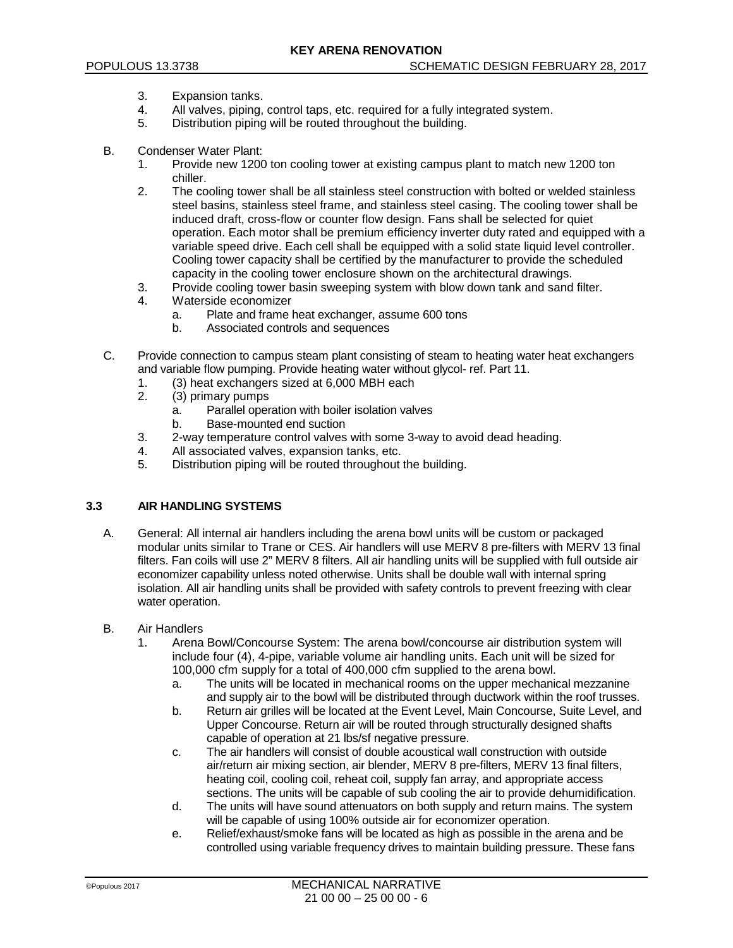- 3. Expansion tanks.
- 4. All valves, piping, control taps, etc. required for a fully integrated system.
- 5. Distribution piping will be routed throughout the building.
- B. Condenser Water Plant:
	- 1. Provide new 1200 ton cooling tower at existing campus plant to match new 1200 ton chiller.
	- 2. The cooling tower shall be all stainless steel construction with bolted or welded stainless steel basins, stainless steel frame, and stainless steel casing. The cooling tower shall be induced draft, cross-flow or counter flow design. Fans shall be selected for quiet operation. Each motor shall be premium efficiency inverter duty rated and equipped with a variable speed drive. Each cell shall be equipped with a solid state liquid level controller. Cooling tower capacity shall be certified by the manufacturer to provide the scheduled capacity in the cooling tower enclosure shown on the architectural drawings.
	- 3. Provide cooling tower basin sweeping system with blow down tank and sand filter.
	- 4. Waterside economizer
		- a. Plate and frame heat exchanger, assume 600 tons
		- Associated controls and sequences
- C. Provide connection to campus steam plant consisting of steam to heating water heat exchangers and variable flow pumping. Provide heating water without glycol- ref. Part 11.
	- 1. (3) heat exchangers sized at 6,000 MBH each
	- (3) primary pumps
		- a. Parallel operation with boiler isolation valves
		- b. Base-mounted end suction
	- 3. 2-way temperature control valves with some 3-way to avoid dead heading.
	- 4. All associated valves, expansion tanks, etc.
	- 5. Distribution piping will be routed throughout the building.

### **3.3 AIR HANDLING SYSTEMS**

- A. General: All internal air handlers including the arena bowl units will be custom or packaged modular units similar to Trane or CES. Air handlers will use MERV 8 pre-filters with MERV 13 final filters. Fan coils will use 2" MERV 8 filters. All air handling units will be supplied with full outside air economizer capability unless noted otherwise. Units shall be double wall with internal spring isolation. All air handling units shall be provided with safety controls to prevent freezing with clear water operation.
- B. Air Handlers
	- 1. Arena Bowl/Concourse System: The arena bowl/concourse air distribution system will include four (4), 4-pipe, variable volume air handling units. Each unit will be sized for 100,000 cfm supply for a total of 400,000 cfm supplied to the arena bowl.
		- a. The units will be located in mechanical rooms on the upper mechanical mezzanine and supply air to the bowl will be distributed through ductwork within the roof trusses.
		- b. Return air grilles will be located at the Event Level, Main Concourse, Suite Level, and Upper Concourse. Return air will be routed through structurally designed shafts capable of operation at 21 lbs/sf negative pressure.
		- c. The air handlers will consist of double acoustical wall construction with outside air/return air mixing section, air blender, MERV 8 pre-filters, MERV 13 final filters, heating coil, cooling coil, reheat coil, supply fan array, and appropriate access sections. The units will be capable of sub cooling the air to provide dehumidification.
		- d. The units will have sound attenuators on both supply and return mains. The system will be capable of using 100% outside air for economizer operation.
		- e. Relief/exhaust/smoke fans will be located as high as possible in the arena and be controlled using variable frequency drives to maintain building pressure. These fans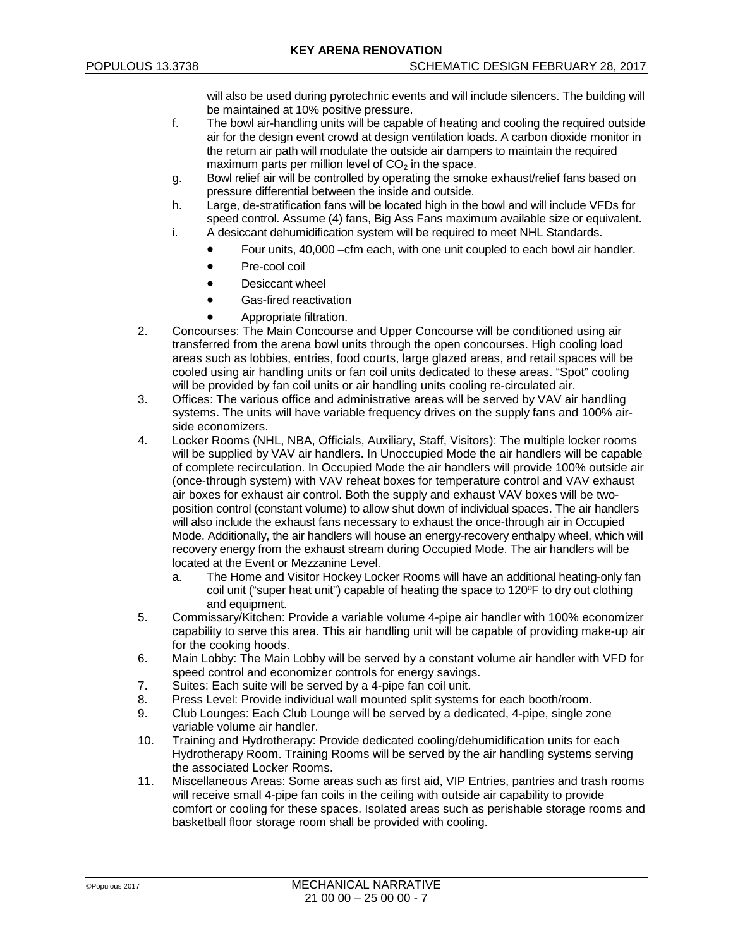will also be used during pyrotechnic events and will include silencers. The building will be maintained at 10% positive pressure.

- f. The bowl air-handling units will be capable of heating and cooling the required outside air for the design event crowd at design ventilation loads. A carbon dioxide monitor in the return air path will modulate the outside air dampers to maintain the required maximum parts per million level of  $CO<sub>2</sub>$  in the space.
- g. Bowl relief air will be controlled by operating the smoke exhaust/relief fans based on pressure differential between the inside and outside.
- h. Large, de-stratification fans will be located high in the bowl and will include VFDs for speed control. Assume (4) fans, Big Ass Fans maximum available size or equivalent. i. A desiccant dehumidification system will be required to meet NHL Standards.
	- Four units, 40,000 –cfm each, with one unit coupled to each bowl air handler.
	- Pre-cool coil
	- Desiccant wheel
	- Gas-fired reactivation
	- Appropriate filtration.
- 2. Concourses: The Main Concourse and Upper Concourse will be conditioned using air transferred from the arena bowl units through the open concourses. High cooling load areas such as lobbies, entries, food courts, large glazed areas, and retail spaces will be cooled using air handling units or fan coil units dedicated to these areas. "Spot" cooling will be provided by fan coil units or air handling units cooling re-circulated air.
- 3. Offices: The various office and administrative areas will be served by VAV air handling systems. The units will have variable frequency drives on the supply fans and 100% airside economizers.
- 4. Locker Rooms (NHL, NBA, Officials, Auxiliary, Staff, Visitors): The multiple locker rooms will be supplied by VAV air handlers. In Unoccupied Mode the air handlers will be capable of complete recirculation. In Occupied Mode the air handlers will provide 100% outside air (once-through system) with VAV reheat boxes for temperature control and VAV exhaust air boxes for exhaust air control. Both the supply and exhaust VAV boxes will be twoposition control (constant volume) to allow shut down of individual spaces. The air handlers will also include the exhaust fans necessary to exhaust the once-through air in Occupied Mode. Additionally, the air handlers will house an energy-recovery enthalpy wheel, which will recovery energy from the exhaust stream during Occupied Mode. The air handlers will be located at the Event or Mezzanine Level.
	- a. The Home and Visitor Hockey Locker Rooms will have an additional heating-only fan coil unit ("super heat unit") capable of heating the space to 120ºF to dry out clothing and equipment.
- 5. Commissary/Kitchen: Provide a variable volume 4-pipe air handler with 100% economizer capability to serve this area. This air handling unit will be capable of providing make-up air for the cooking hoods.
- 6. Main Lobby: The Main Lobby will be served by a constant volume air handler with VFD for speed control and economizer controls for energy savings.
- 7. Suites: Each suite will be served by a 4-pipe fan coil unit.
- 8. Press Level: Provide individual wall mounted split systems for each booth/room.
- 9. Club Lounges: Each Club Lounge will be served by a dedicated, 4-pipe, single zone variable volume air handler.
- 10. Training and Hydrotherapy: Provide dedicated cooling/dehumidification units for each Hydrotherapy Room. Training Rooms will be served by the air handling systems serving the associated Locker Rooms.
- 11. Miscellaneous Areas: Some areas such as first aid, VIP Entries, pantries and trash rooms will receive small 4-pipe fan coils in the ceiling with outside air capability to provide comfort or cooling for these spaces. Isolated areas such as perishable storage rooms and basketball floor storage room shall be provided with cooling.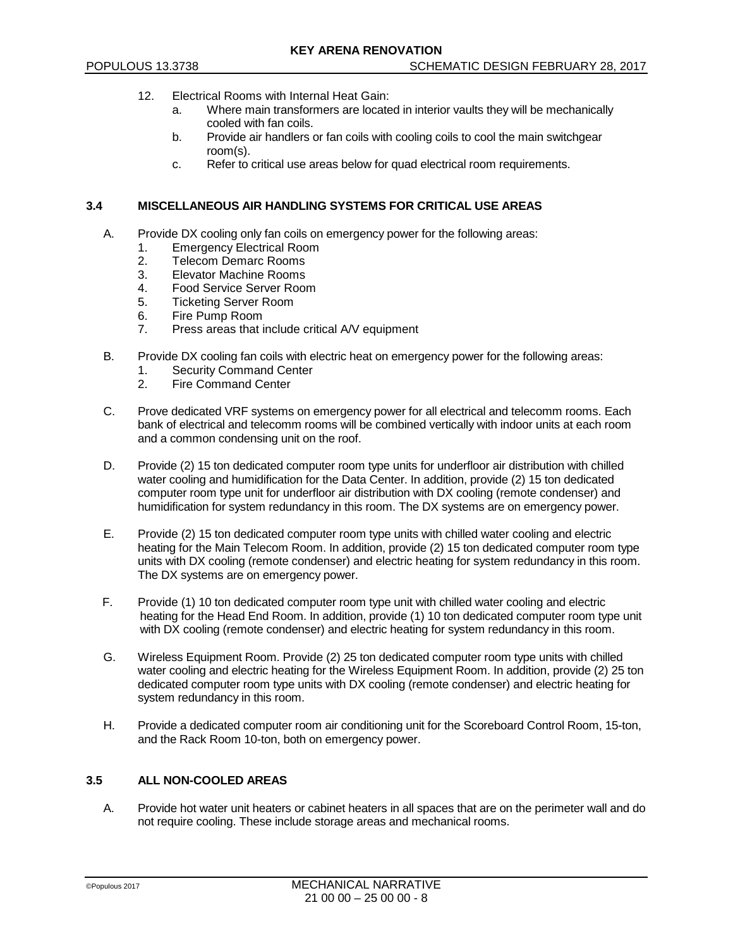- 12. Electrical Rooms with Internal Heat Gain:
	- a. Where main transformers are located in interior vaults they will be mechanically cooled with fan coils.
	- b. Provide air handlers or fan coils with cooling coils to cool the main switchgear room(s).
	- c. Refer to critical use areas below for quad electrical room requirements.

### **3.4 MISCELLANEOUS AIR HANDLING SYSTEMS FOR CRITICAL USE AREAS**

- A. Provide DX cooling only fan coils on emergency power for the following areas:
	- 1. Emergency Electrical Room<br>2. Telecom Demarc Rooms
	- 2. Telecom Demarc Rooms
	- 3. Elevator Machine Rooms
	-
	- 4. Food Service Server Room<br>5. Ticketing Server Room 5. Ticketing Server Room
	- 6. Fire Pump Room<br>7. Press areas that i
	- Press areas that include critical A/V equipment
- B. Provide DX cooling fan coils with electric heat on emergency power for the following areas:
	- 1. Security Command Center<br>2. Fire Command Center
	- Fire Command Center
- C. Prove dedicated VRF systems on emergency power for all electrical and telecomm rooms. Each bank of electrical and telecomm rooms will be combined vertically with indoor units at each room and a common condensing unit on the roof.
- D. Provide (2) 15 ton dedicated computer room type units for underfloor air distribution with chilled water cooling and humidification for the Data Center. In addition, provide (2) 15 ton dedicated computer room type unit for underfloor air distribution with DX cooling (remote condenser) and humidification for system redundancy in this room. The DX systems are on emergency power.
- E. Provide (2) 15 ton dedicated computer room type units with chilled water cooling and electric heating for the Main Telecom Room. In addition, provide (2) 15 ton dedicated computer room type units with DX cooling (remote condenser) and electric heating for system redundancy in this room. The DX systems are on emergency power.
- F. Provide (1) 10 ton dedicated computer room type unit with chilled water cooling and electric heating for the Head End Room. In addition, provide (1) 10 ton dedicated computer room type unit with DX cooling (remote condenser) and electric heating for system redundancy in this room.
- G. Wireless Equipment Room. Provide (2) 25 ton dedicated computer room type units with chilled water cooling and electric heating for the Wireless Equipment Room. In addition, provide (2) 25 ton dedicated computer room type units with DX cooling (remote condenser) and electric heating for system redundancy in this room.
- H. Provide a dedicated computer room air conditioning unit for the Scoreboard Control Room, 15-ton, and the Rack Room 10-ton, both on emergency power.

### **3.5 ALL NON-COOLED AREAS**

A. Provide hot water unit heaters or cabinet heaters in all spaces that are on the perimeter wall and do not require cooling. These include storage areas and mechanical rooms.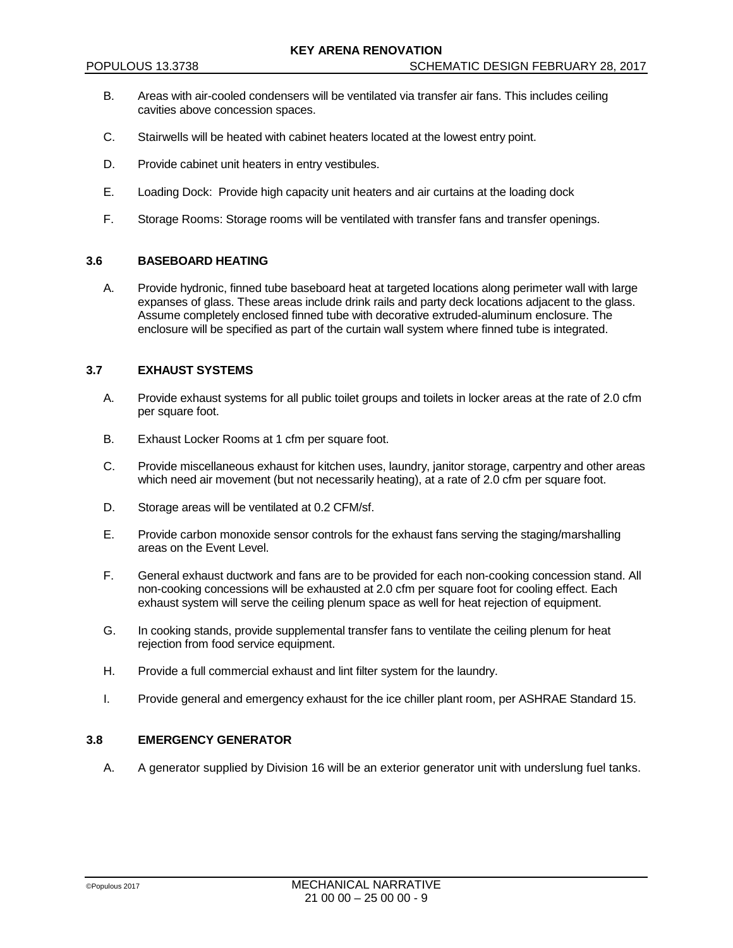- B. Areas with air-cooled condensers will be ventilated via transfer air fans. This includes ceiling cavities above concession spaces.
- C. Stairwells will be heated with cabinet heaters located at the lowest entry point.
- D. Provide cabinet unit heaters in entry vestibules.
- E. Loading Dock: Provide high capacity unit heaters and air curtains at the loading dock
- F. Storage Rooms: Storage rooms will be ventilated with transfer fans and transfer openings.

### **3.6 BASEBOARD HEATING**

A. Provide hydronic, finned tube baseboard heat at targeted locations along perimeter wall with large expanses of glass. These areas include drink rails and party deck locations adjacent to the glass. Assume completely enclosed finned tube with decorative extruded-aluminum enclosure. The enclosure will be specified as part of the curtain wall system where finned tube is integrated.

#### **3.7 EXHAUST SYSTEMS**

- A. Provide exhaust systems for all public toilet groups and toilets in locker areas at the rate of 2.0 cfm per square foot.
- B. Exhaust Locker Rooms at 1 cfm per square foot.
- C. Provide miscellaneous exhaust for kitchen uses, laundry, janitor storage, carpentry and other areas which need air movement (but not necessarily heating), at a rate of 2.0 cfm per square foot.
- D. Storage areas will be ventilated at 0.2 CFM/sf.
- E. Provide carbon monoxide sensor controls for the exhaust fans serving the staging/marshalling areas on the Event Level.
- F. General exhaust ductwork and fans are to be provided for each non-cooking concession stand. All non-cooking concessions will be exhausted at 2.0 cfm per square foot for cooling effect. Each exhaust system will serve the ceiling plenum space as well for heat rejection of equipment.
- G. In cooking stands, provide supplemental transfer fans to ventilate the ceiling plenum for heat rejection from food service equipment.
- H. Provide a full commercial exhaust and lint filter system for the laundry.
- I. Provide general and emergency exhaust for the ice chiller plant room, per ASHRAE Standard 15.

## **3.8 EMERGENCY GENERATOR**

A. A generator supplied by Division 16 will be an exterior generator unit with underslung fuel tanks.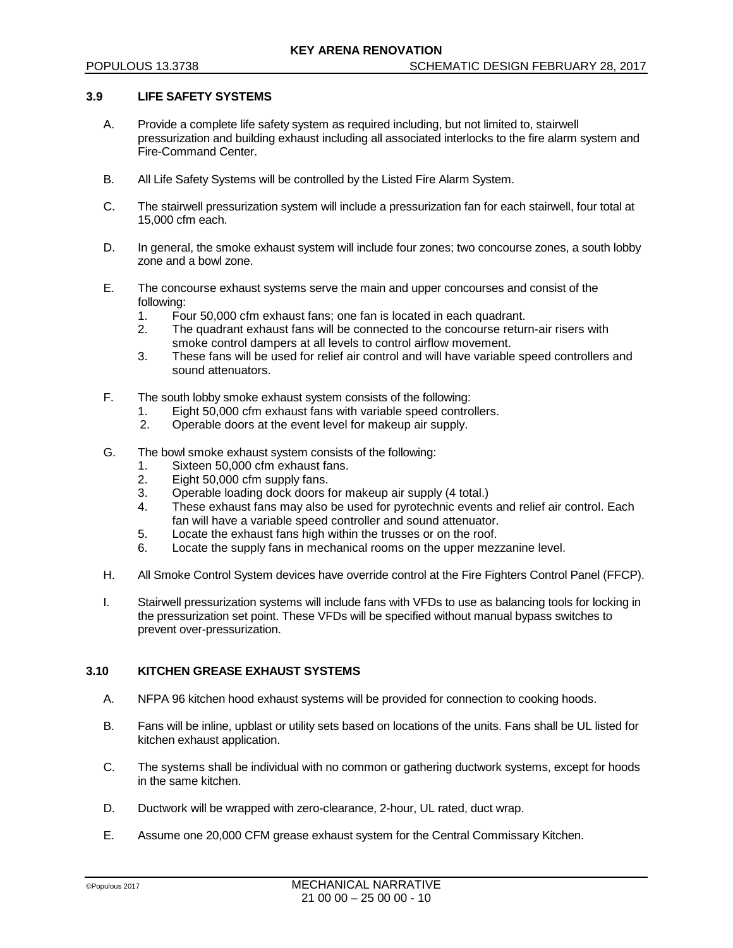### **3.9 LIFE SAFETY SYSTEMS**

- A. Provide a complete life safety system as required including, but not limited to, stairwell pressurization and building exhaust including all associated interlocks to the fire alarm system and Fire-Command Center.
- B. All Life Safety Systems will be controlled by the Listed Fire Alarm System.
- C. The stairwell pressurization system will include a pressurization fan for each stairwell, four total at 15,000 cfm each.
- D. In general, the smoke exhaust system will include four zones; two concourse zones, a south lobby zone and a bowl zone.
- E. The concourse exhaust systems serve the main and upper concourses and consist of the following:<br>1. Fo
	- 1. Four 50,000 cfm exhaust fans; one fan is located in each quadrant.<br>2. The quadrant exhaust fans will be connected to the concourse reture
	- The quadrant exhaust fans will be connected to the concourse return-air risers with smoke control dampers at all levels to control airflow movement.
	- 3. These fans will be used for relief air control and will have variable speed controllers and sound attenuators.
- F. The south lobby smoke exhaust system consists of the following:
	- 1. Eight 50,000 cfm exhaust fans with variable speed controllers.
	- 2. Operable doors at the event level for makeup air supply.
- G. The bowl smoke exhaust system consists of the following:
	- 1. Sixteen 50,000 cfm exhaust fans.
	- 2. Eight 50,000 cfm supply fans.
	- 3. Operable loading dock doors for makeup air supply (4 total.)
	- These exhaust fans may also be used for pyrotechnic events and relief air control. Each fan will have a variable speed controller and sound attenuator.
	- 5. Locate the exhaust fans high within the trusses or on the roof.
	- 6. Locate the supply fans in mechanical rooms on the upper mezzanine level.
- H. All Smoke Control System devices have override control at the Fire Fighters Control Panel (FFCP).
- I. Stairwell pressurization systems will include fans with VFDs to use as balancing tools for locking in the pressurization set point. These VFDs will be specified without manual bypass switches to prevent over-pressurization.

## **3.10 KITCHEN GREASE EXHAUST SYSTEMS**

- A. NFPA 96 kitchen hood exhaust systems will be provided for connection to cooking hoods.
- B. Fans will be inline, upblast or utility sets based on locations of the units. Fans shall be UL listed for kitchen exhaust application.
- C. The systems shall be individual with no common or gathering ductwork systems, except for hoods in the same kitchen.
- D. Ductwork will be wrapped with zero-clearance, 2-hour, UL rated, duct wrap.
- E. Assume one 20,000 CFM grease exhaust system for the Central Commissary Kitchen.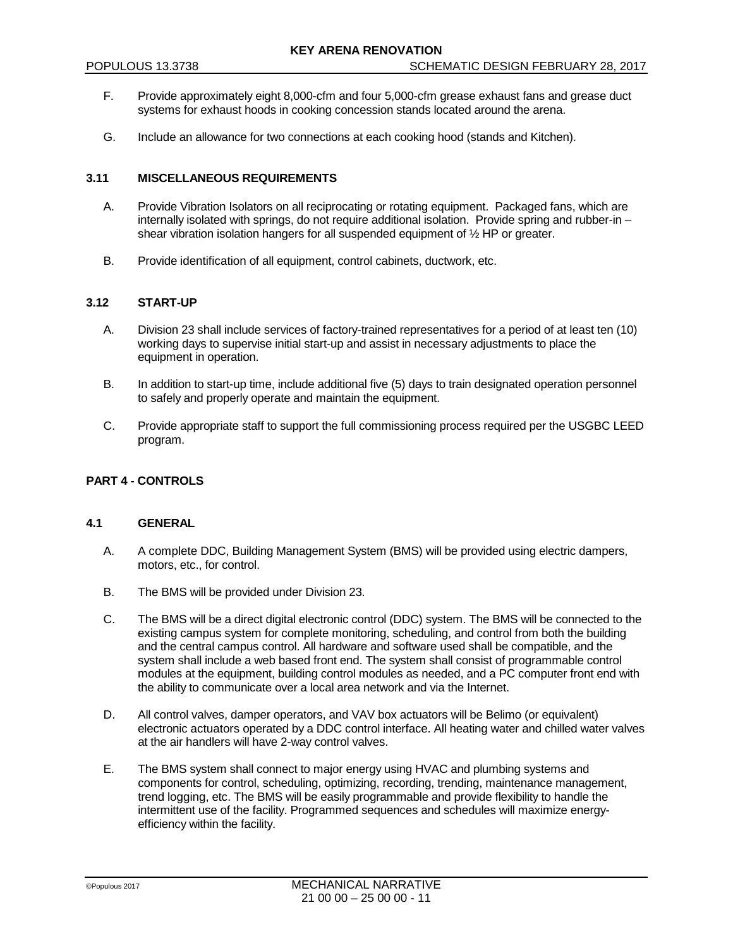- F. Provide approximately eight 8,000-cfm and four 5,000-cfm grease exhaust fans and grease duct systems for exhaust hoods in cooking concession stands located around the arena.
- G. Include an allowance for two connections at each cooking hood (stands and Kitchen).

## **3.11 MISCELLANEOUS REQUIREMENTS**

- A. Provide Vibration Isolators on all reciprocating or rotating equipment. Packaged fans, which are internally isolated with springs, do not require additional isolation. Provide spring and rubber-in – shear vibration isolation hangers for all suspended equipment of ½ HP or greater.
- B. Provide identification of all equipment, control cabinets, ductwork, etc.

#### **3.12 START-UP**

- A. Division 23 shall include services of factory-trained representatives for a period of at least ten (10) working days to supervise initial start-up and assist in necessary adjustments to place the equipment in operation.
- B. In addition to start-up time, include additional five (5) days to train designated operation personnel to safely and properly operate and maintain the equipment.
- C. Provide appropriate staff to support the full commissioning process required per the USGBC LEED program.

## **PART 4 - CONTROLS**

## **4.1 GENERAL**

- A. A complete DDC, Building Management System (BMS) will be provided using electric dampers, motors, etc., for control.
- B. The BMS will be provided under Division 23.
- C. The BMS will be a direct digital electronic control (DDC) system. The BMS will be connected to the existing campus system for complete monitoring, scheduling, and control from both the building and the central campus control. All hardware and software used shall be compatible, and the system shall include a web based front end. The system shall consist of programmable control modules at the equipment, building control modules as needed, and a PC computer front end with the ability to communicate over a local area network and via the Internet.
- D. All control valves, damper operators, and VAV box actuators will be Belimo (or equivalent) electronic actuators operated by a DDC control interface. All heating water and chilled water valves at the air handlers will have 2-way control valves.
- E. The BMS system shall connect to major energy using HVAC and plumbing systems and components for control, scheduling, optimizing, recording, trending, maintenance management, trend logging, etc. The BMS will be easily programmable and provide flexibility to handle the intermittent use of the facility. Programmed sequences and schedules will maximize energyefficiency within the facility.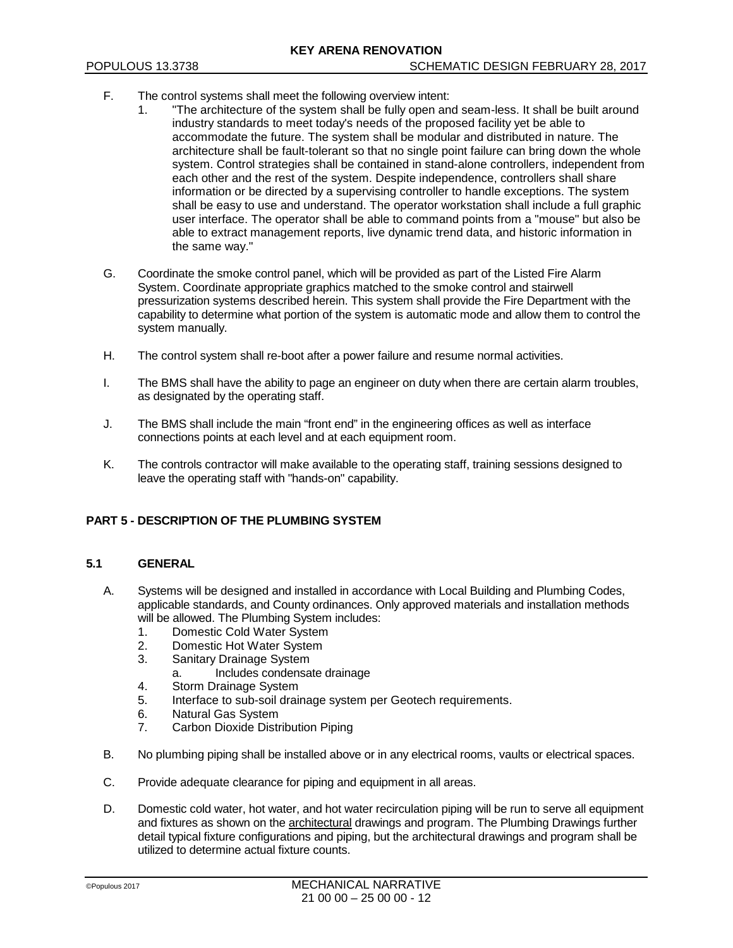- F. The control systems shall meet the following overview intent:
	- 1. "The architecture of the system shall be fully open and seam-less. It shall be built around industry standards to meet today's needs of the proposed facility yet be able to accommodate the future. The system shall be modular and distributed in nature. The architecture shall be fault-tolerant so that no single point failure can bring down the whole system. Control strategies shall be contained in stand-alone controllers, independent from each other and the rest of the system. Despite independence, controllers shall share information or be directed by a supervising controller to handle exceptions. The system shall be easy to use and understand. The operator workstation shall include a full graphic user interface. The operator shall be able to command points from a "mouse" but also be able to extract management reports, live dynamic trend data, and historic information in the same way."
- G. Coordinate the smoke control panel, which will be provided as part of the Listed Fire Alarm System. Coordinate appropriate graphics matched to the smoke control and stairwell pressurization systems described herein. This system shall provide the Fire Department with the capability to determine what portion of the system is automatic mode and allow them to control the system manually.
- H. The control system shall re-boot after a power failure and resume normal activities.
- I. The BMS shall have the ability to page an engineer on duty when there are certain alarm troubles, as designated by the operating staff.
- J. The BMS shall include the main "front end" in the engineering offices as well as interface connections points at each level and at each equipment room.
- K. The controls contractor will make available to the operating staff, training sessions designed to leave the operating staff with "hands-on" capability.

# **PART 5 - DESCRIPTION OF THE PLUMBING SYSTEM**

### **5.1 GENERAL**

- A. Systems will be designed and installed in accordance with Local Building and Plumbing Codes, applicable standards, and County ordinances. Only approved materials and installation methods will be allowed. The Plumbing System includes:
	- 1. Domestic Cold Water System
	- 2. Domestic Hot Water System
	- 3. Sanitary Drainage System
		- a. Includes condensate drainage
	- 4. Storm Drainage System
	- 5. Interface to sub-soil drainage system per Geotech requirements.
	- 6. Natural Gas System
	- 7. Carbon Dioxide Distribution Piping
- B. No plumbing piping shall be installed above or in any electrical rooms, vaults or electrical spaces.
- C. Provide adequate clearance for piping and equipment in all areas.
- D. Domestic cold water, hot water, and hot water recirculation piping will be run to serve all equipment and fixtures as shown on the architectural drawings and program. The Plumbing Drawings further detail typical fixture configurations and piping, but the architectural drawings and program shall be utilized to determine actual fixture counts.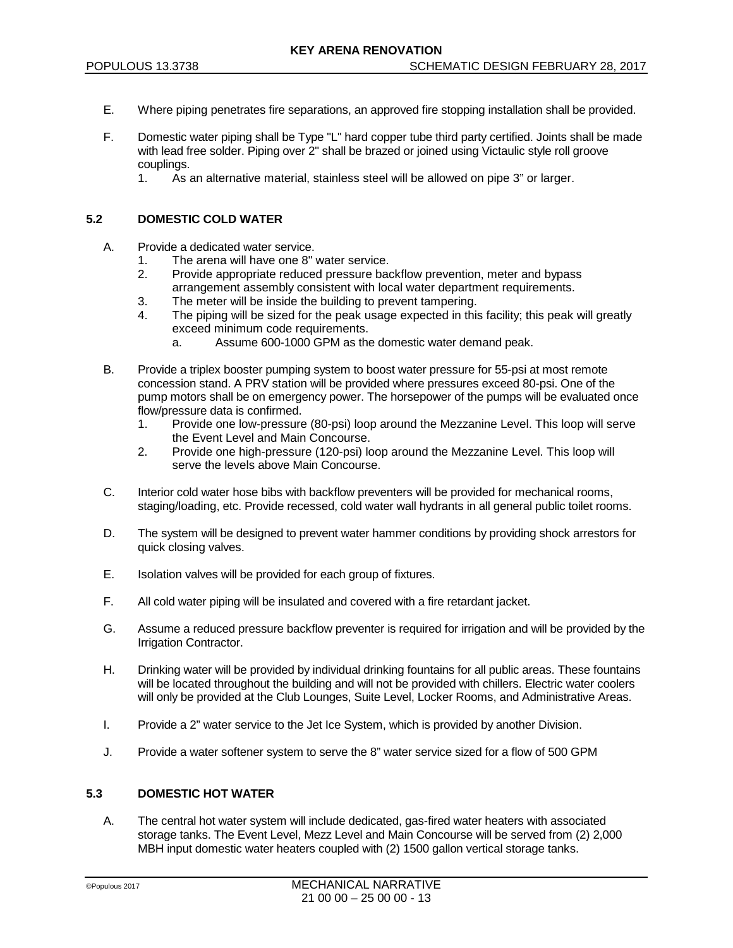- E. Where piping penetrates fire separations, an approved fire stopping installation shall be provided.
- F. Domestic water piping shall be Type "L" hard copper tube third party certified. Joints shall be made with lead free solder. Piping over 2" shall be brazed or joined using Victaulic style roll groove couplings.
	- 1. As an alternative material, stainless steel will be allowed on pipe 3" or larger.

### **5.2 DOMESTIC COLD WATER**

- A. Provide a dedicated water service.
	- 1. The arena will have one 8" water service.
	- 2. Provide appropriate reduced pressure backflow prevention, meter and bypass arrangement assembly consistent with local water department requirements.
	- 3. The meter will be inside the building to prevent tampering.
	- 4. The piping will be sized for the peak usage expected in this facility; this peak will greatly exceed minimum code requirements.
		- a. Assume 600-1000 GPM as the domestic water demand peak.
- B. Provide a triplex booster pumping system to boost water pressure for 55-psi at most remote concession stand. A PRV station will be provided where pressures exceed 80-psi. One of the pump motors shall be on emergency power. The horsepower of the pumps will be evaluated once flow/pressure data is confirmed.
	- 1. Provide one low-pressure (80-psi) loop around the Mezzanine Level. This loop will serve the Event Level and Main Concourse.
	- 2. Provide one high-pressure (120-psi) loop around the Mezzanine Level. This loop will serve the levels above Main Concourse.
- C. Interior cold water hose bibs with backflow preventers will be provided for mechanical rooms, staging/loading, etc. Provide recessed, cold water wall hydrants in all general public toilet rooms.
- D. The system will be designed to prevent water hammer conditions by providing shock arrestors for quick closing valves.
- E. Isolation valves will be provided for each group of fixtures.
- F. All cold water piping will be insulated and covered with a fire retardant jacket.
- G. Assume a reduced pressure backflow preventer is required for irrigation and will be provided by the Irrigation Contractor.
- H. Drinking water will be provided by individual drinking fountains for all public areas. These fountains will be located throughout the building and will not be provided with chillers. Electric water coolers will only be provided at the Club Lounges, Suite Level, Locker Rooms, and Administrative Areas.
- I. Provide a 2" water service to the Jet Ice System, which is provided by another Division.
- J. Provide a water softener system to serve the 8" water service sized for a flow of 500 GPM

### **5.3 DOMESTIC HOT WATER**

A. The central hot water system will include dedicated, gas-fired water heaters with associated storage tanks. The Event Level, Mezz Level and Main Concourse will be served from (2) 2,000 MBH input domestic water heaters coupled with (2) 1500 gallon vertical storage tanks.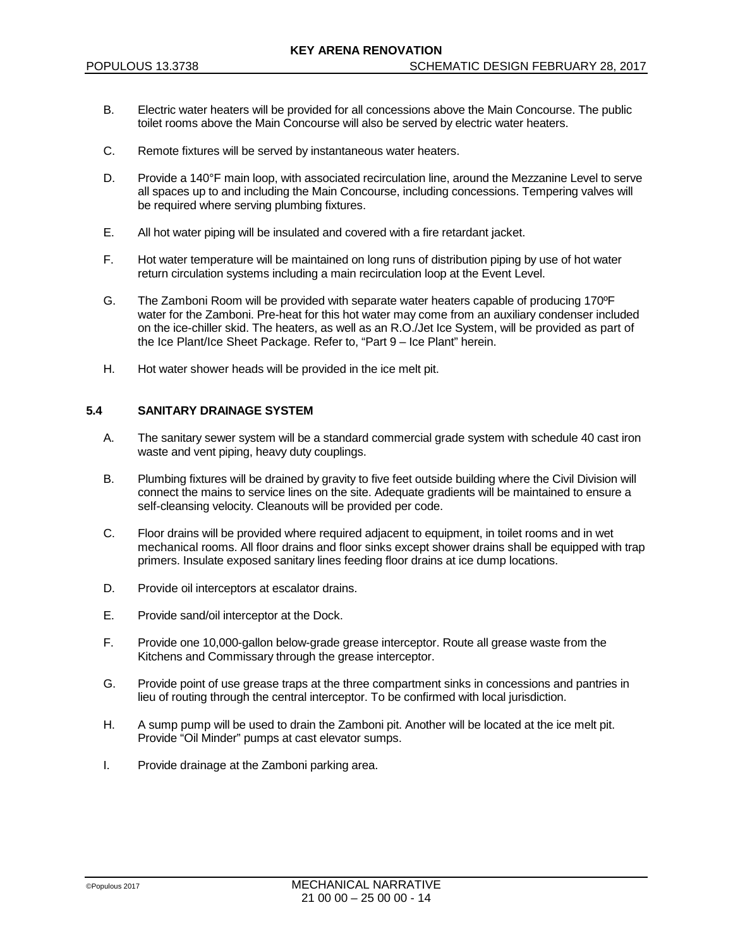- B. Electric water heaters will be provided for all concessions above the Main Concourse. The public toilet rooms above the Main Concourse will also be served by electric water heaters.
- C. Remote fixtures will be served by instantaneous water heaters.
- D. Provide a 140°F main loop, with associated recirculation line, around the Mezzanine Level to serve all spaces up to and including the Main Concourse, including concessions. Tempering valves will be required where serving plumbing fixtures.
- E. All hot water piping will be insulated and covered with a fire retardant jacket.
- F. Hot water temperature will be maintained on long runs of distribution piping by use of hot water return circulation systems including a main recirculation loop at the Event Level.
- G. The Zamboni Room will be provided with separate water heaters capable of producing 170ºF water for the Zamboni. Pre-heat for this hot water may come from an auxiliary condenser included on the ice-chiller skid. The heaters, as well as an R.O./Jet Ice System, will be provided as part of the Ice Plant/Ice Sheet Package. Refer to, "Part 9 – Ice Plant" herein.
- H. Hot water shower heads will be provided in the ice melt pit.

## **5.4 SANITARY DRAINAGE SYSTEM**

- A. The sanitary sewer system will be a standard commercial grade system with schedule 40 cast iron waste and vent piping, heavy duty couplings.
- B. Plumbing fixtures will be drained by gravity to five feet outside building where the Civil Division will connect the mains to service lines on the site. Adequate gradients will be maintained to ensure a self-cleansing velocity. Cleanouts will be provided per code.
- C. Floor drains will be provided where required adjacent to equipment, in toilet rooms and in wet mechanical rooms. All floor drains and floor sinks except shower drains shall be equipped with trap primers. Insulate exposed sanitary lines feeding floor drains at ice dump locations.
- D. Provide oil interceptors at escalator drains.
- E. Provide sand/oil interceptor at the Dock.
- F. Provide one 10,000-gallon below-grade grease interceptor. Route all grease waste from the Kitchens and Commissary through the grease interceptor.
- G. Provide point of use grease traps at the three compartment sinks in concessions and pantries in lieu of routing through the central interceptor. To be confirmed with local jurisdiction.
- H. A sump pump will be used to drain the Zamboni pit. Another will be located at the ice melt pit. Provide "Oil Minder" pumps at cast elevator sumps.
- I. Provide drainage at the Zamboni parking area.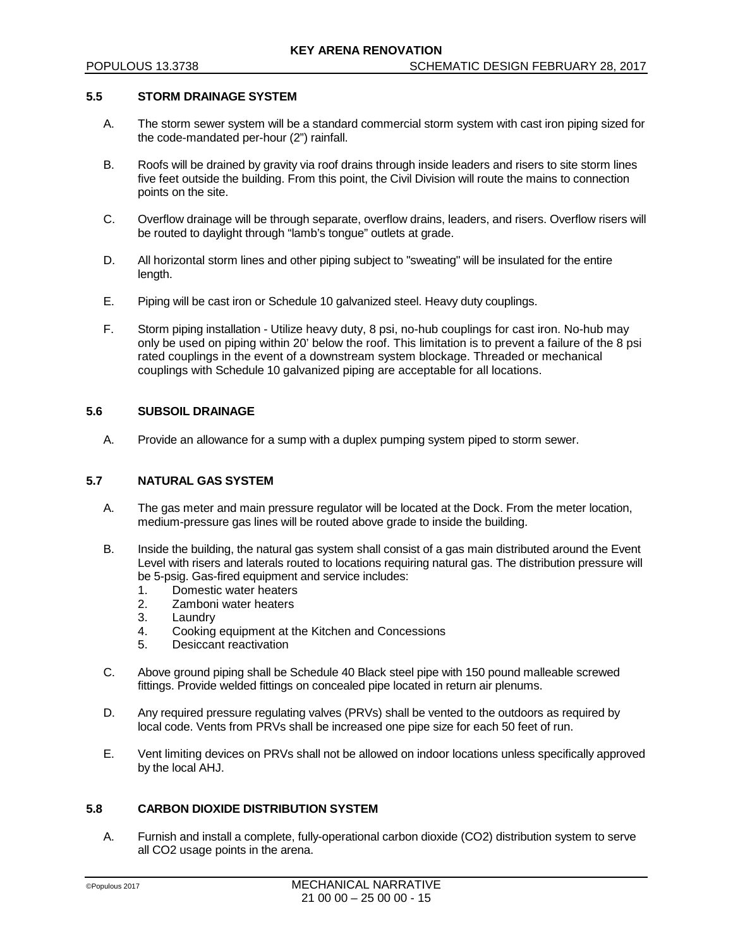### **5.5 STORM DRAINAGE SYSTEM**

- A. The storm sewer system will be a standard commercial storm system with cast iron piping sized for the code-mandated per-hour (2") rainfall.
- B. Roofs will be drained by gravity via roof drains through inside leaders and risers to site storm lines five feet outside the building. From this point, the Civil Division will route the mains to connection points on the site.
- C. Overflow drainage will be through separate, overflow drains, leaders, and risers. Overflow risers will be routed to daylight through "lamb's tongue" outlets at grade.
- D. All horizontal storm lines and other piping subject to "sweating" will be insulated for the entire length.
- E. Piping will be cast iron or Schedule 10 galvanized steel. Heavy duty couplings.
- F. Storm piping installation Utilize heavy duty, 8 psi, no-hub couplings for cast iron. No-hub may only be used on piping within 20' below the roof. This limitation is to prevent a failure of the 8 psi rated couplings in the event of a downstream system blockage. Threaded or mechanical couplings with Schedule 10 galvanized piping are acceptable for all locations.

### **5.6 SUBSOIL DRAINAGE**

A. Provide an allowance for a sump with a duplex pumping system piped to storm sewer.

## **5.7 NATURAL GAS SYSTEM**

- A. The gas meter and main pressure regulator will be located at the Dock. From the meter location, medium-pressure gas lines will be routed above grade to inside the building.
- B. Inside the building, the natural gas system shall consist of a gas main distributed around the Event Level with risers and laterals routed to locations requiring natural gas. The distribution pressure will be 5-psig. Gas-fired equipment and service includes:
	- 1. Domestic water heaters
	- 2. Zamboni water heaters
	- 3. Laundry
	- 4. Cooking equipment at the Kitchen and Concessions
	- 5. Desiccant reactivation
- C. Above ground piping shall be Schedule 40 Black steel pipe with 150 pound malleable screwed fittings. Provide welded fittings on concealed pipe located in return air plenums.
- D. Any required pressure regulating valves (PRVs) shall be vented to the outdoors as required by local code. Vents from PRVs shall be increased one pipe size for each 50 feet of run.
- E. Vent limiting devices on PRVs shall not be allowed on indoor locations unless specifically approved by the local AHJ.

## **5.8 CARBON DIOXIDE DISTRIBUTION SYSTEM**

A. Furnish and install a complete, fully-operational carbon dioxide (CO2) distribution system to serve all CO2 usage points in the arena.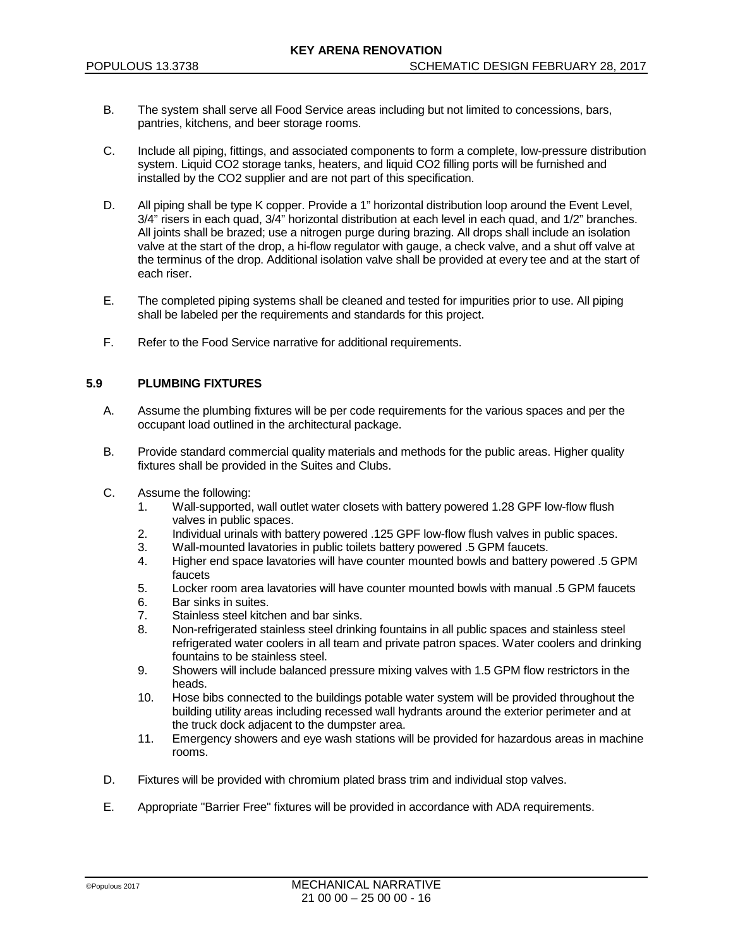- B. The system shall serve all Food Service areas including but not limited to concessions, bars, pantries, kitchens, and beer storage rooms.
- C. Include all piping, fittings, and associated components to form a complete, low-pressure distribution system. Liquid CO2 storage tanks, heaters, and liquid CO2 filling ports will be furnished and installed by the CO2 supplier and are not part of this specification.
- D. All piping shall be type K copper. Provide a 1" horizontal distribution loop around the Event Level, 3/4" risers in each quad, 3/4" horizontal distribution at each level in each quad, and 1/2" branches. All joints shall be brazed; use a nitrogen purge during brazing. All drops shall include an isolation valve at the start of the drop, a hi-flow regulator with gauge, a check valve, and a shut off valve at the terminus of the drop. Additional isolation valve shall be provided at every tee and at the start of each riser.
- E. The completed piping systems shall be cleaned and tested for impurities prior to use. All piping shall be labeled per the requirements and standards for this project.
- F. Refer to the Food Service narrative for additional requirements.

### **5.9 PLUMBING FIXTURES**

- A. Assume the plumbing fixtures will be per code requirements for the various spaces and per the occupant load outlined in the architectural package.
- B. Provide standard commercial quality materials and methods for the public areas. Higher quality fixtures shall be provided in the Suites and Clubs.
- C. Assume the following:
	- 1. Wall-supported, wall outlet water closets with battery powered 1.28 GPF low-flow flush valves in public spaces.
	- 2. Individual urinals with battery powered .125 GPF low-flow flush valves in public spaces.
	- 3. Wall-mounted lavatories in public toilets battery powered .5 GPM faucets.
	- 4. Higher end space lavatories will have counter mounted bowls and battery powered .5 GPM faucets
	- 5. Locker room area lavatories will have counter mounted bowls with manual .5 GPM faucets
	- 6. Bar sinks in suites.
	- 7. Stainless steel kitchen and bar sinks.
	- 8. Non-refrigerated stainless steel drinking fountains in all public spaces and stainless steel refrigerated water coolers in all team and private patron spaces. Water coolers and drinking fountains to be stainless steel.
	- 9. Showers will include balanced pressure mixing valves with 1.5 GPM flow restrictors in the heads.
	- 10. Hose bibs connected to the buildings potable water system will be provided throughout the building utility areas including recessed wall hydrants around the exterior perimeter and at the truck dock adjacent to the dumpster area.
	- 11. Emergency showers and eye wash stations will be provided for hazardous areas in machine rooms.
- D. Fixtures will be provided with chromium plated brass trim and individual stop valves.
- E. Appropriate "Barrier Free" fixtures will be provided in accordance with ADA requirements.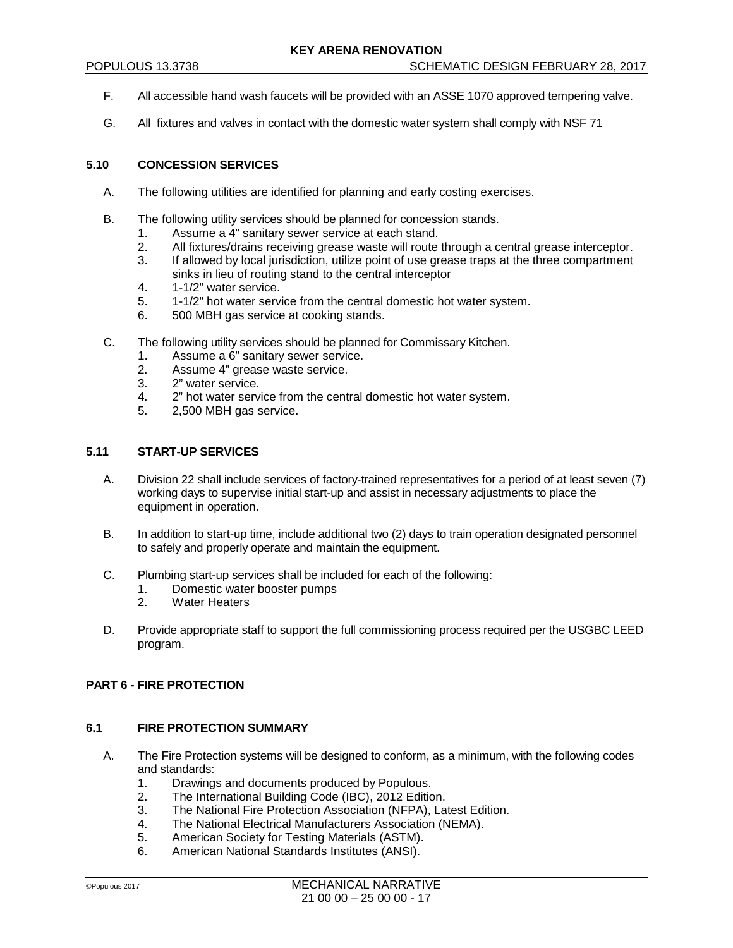- F. All accessible hand wash faucets will be provided with an ASSE 1070 approved tempering valve.
- G. All fixtures and valves in contact with the domestic water system shall comply with NSF 71

## **5.10 CONCESSION SERVICES**

- A. The following utilities are identified for planning and early costing exercises.
- B. The following utility services should be planned for concession stands.
	- 1. Assume a 4" sanitary sewer service at each stand.
	- 2. All fixtures/drains receiving grease waste will route through a central grease interceptor.
	- 3. If allowed by local jurisdiction, utilize point of use grease traps at the three compartment sinks in lieu of routing stand to the central interceptor
	- 4. 1-1/2" water service.
	- 5. 1-1/2" hot water service from the central domestic hot water system.
	- 6. 500 MBH gas service at cooking stands.
- C. The following utility services should be planned for Commissary Kitchen.
	- 1. Assume a 6" sanitary sewer service.<br>2. Assume 4" grease waste service.
	- Assume 4" grease waste service.
	- 3. 2" water service.
	- 4. 2" hot water service from the central domestic hot water system.
	- 5. 2,500 MBH gas service.

#### **5.11 START-UP SERVICES**

- A. Division 22 shall include services of factory-trained representatives for a period of at least seven (7) working days to supervise initial start-up and assist in necessary adjustments to place the equipment in operation.
- B. In addition to start-up time, include additional two (2) days to train operation designated personnel to safely and properly operate and maintain the equipment.
- C. Plumbing start-up services shall be included for each of the following:
	- Domestic water booster pumps
	- 2. Water Heaters
- D. Provide appropriate staff to support the full commissioning process required per the USGBC LEED program.

# **PART 6 - FIRE PROTECTION**

### **6.1 FIRE PROTECTION SUMMARY**

- A. The Fire Protection systems will be designed to conform, as a minimum, with the following codes and standards:
	- 1. Drawings and documents produced by Populous.<br>2. The International Building Code (IBC), 2012 Editic
	- 2. The International Building Code (IBC), 2012 Edition.<br>3. The National Fire Protection Association (NFPA). La
	- The National Fire Protection Association (NFPA), Latest Edition.
	- 4. The National Electrical Manufacturers Association (NEMA).
	- 5. American Society for Testing Materials (ASTM).
	- 6. American National Standards Institutes (ANSI).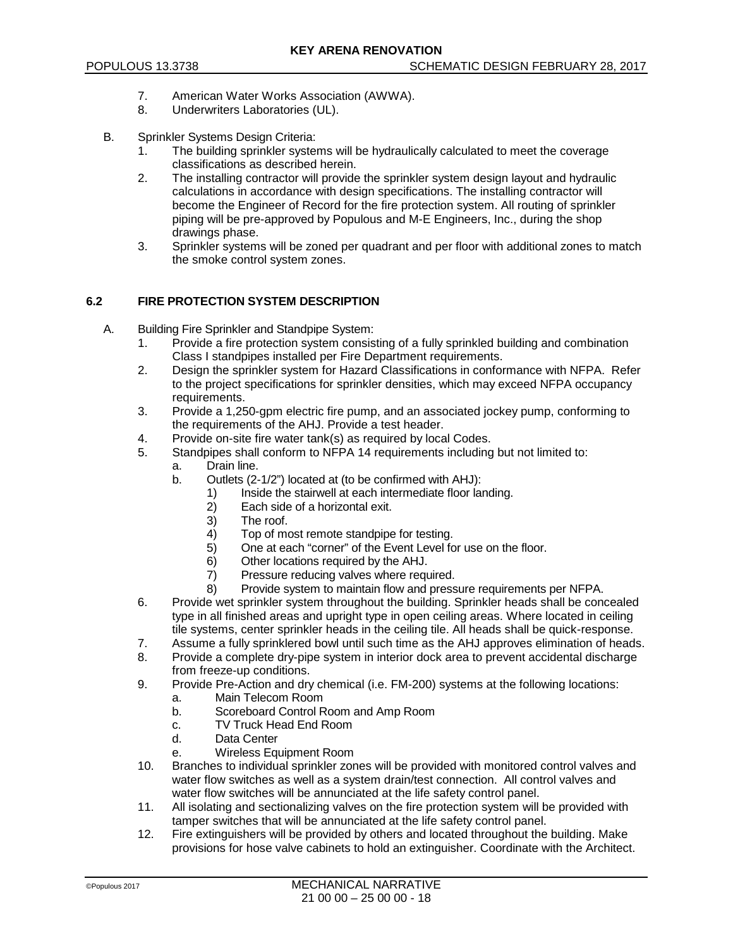- 7. American Water Works Association (AWWA).
- 8. Underwriters Laboratories (UL).
- B. Sprinkler Systems Design Criteria:
	- 1. The building sprinkler systems will be hydraulically calculated to meet the coverage classifications as described herein.
	- 2. The installing contractor will provide the sprinkler system design layout and hydraulic calculations in accordance with design specifications. The installing contractor will become the Engineer of Record for the fire protection system. All routing of sprinkler piping will be pre-approved by Populous and M-E Engineers, Inc., during the shop drawings phase.
	- 3. Sprinkler systems will be zoned per quadrant and per floor with additional zones to match the smoke control system zones.

## **6.2 FIRE PROTECTION SYSTEM DESCRIPTION**

- A. Building Fire Sprinkler and Standpipe System:
	- 1. Provide a fire protection system consisting of a fully sprinkled building and combination Class I standpipes installed per Fire Department requirements.
	- 2. Design the sprinkler system for Hazard Classifications in conformance with NFPA. Refer to the project specifications for sprinkler densities, which may exceed NFPA occupancy requirements.
	- 3. Provide a 1,250-gpm electric fire pump, and an associated jockey pump, conforming to the requirements of the AHJ. Provide a test header.
	- 4. Provide on-site fire water tank(s) as required by local Codes.
	- 5. Standpipes shall conform to NFPA 14 requirements including but not limited to:
		- a. Drain line.
		- b. Outlets (2-1/2") located at (to be confirmed with AHJ):
			- 1) Inside the stairwell at each intermediate floor landing.<br>2) Each side of a horizontal exit.
			- $2)$  Each side of a horizontal exit.<br>3) The roof.
			- The roof
			- 4) Top of most remote standpipe for testing.
			- 5) One at each "corner" of the Event Level for use on the floor.
			- 6) Other locations required by the AHJ.<br>
			7) Pressure reducing valves where regu
			- Pressure reducing valves where required.
			- 8) Provide system to maintain flow and pressure requirements per NFPA.
	- 6. Provide wet sprinkler system throughout the building. Sprinkler heads shall be concealed type in all finished areas and upright type in open ceiling areas. Where located in ceiling tile systems, center sprinkler heads in the ceiling tile. All heads shall be quick-response.
	- 7. Assume a fully sprinklered bowl until such time as the AHJ approves elimination of heads.
	- 8. Provide a complete dry-pipe system in interior dock area to prevent accidental discharge from freeze-up conditions.
	- 9. Provide Pre-Action and dry chemical (i.e. FM-200) systems at the following locations:
		- a. Main Telecom Room<br>b. Scoreboard Control R
		- b. Scoreboard Control Room and Amp Room<br>c. TV Truck Head End Room
		- TV Truck Head End Room
		- d. Data Center
		- e. Wireless Equipment Room
	- 10. Branches to individual sprinkler zones will be provided with monitored control valves and water flow switches as well as a system drain/test connection. All control valves and water flow switches will be annunciated at the life safety control panel.
	- 11. All isolating and sectionalizing valves on the fire protection system will be provided with tamper switches that will be annunciated at the life safety control panel.
	- 12. Fire extinguishers will be provided by others and located throughout the building. Make provisions for hose valve cabinets to hold an extinguisher. Coordinate with the Architect.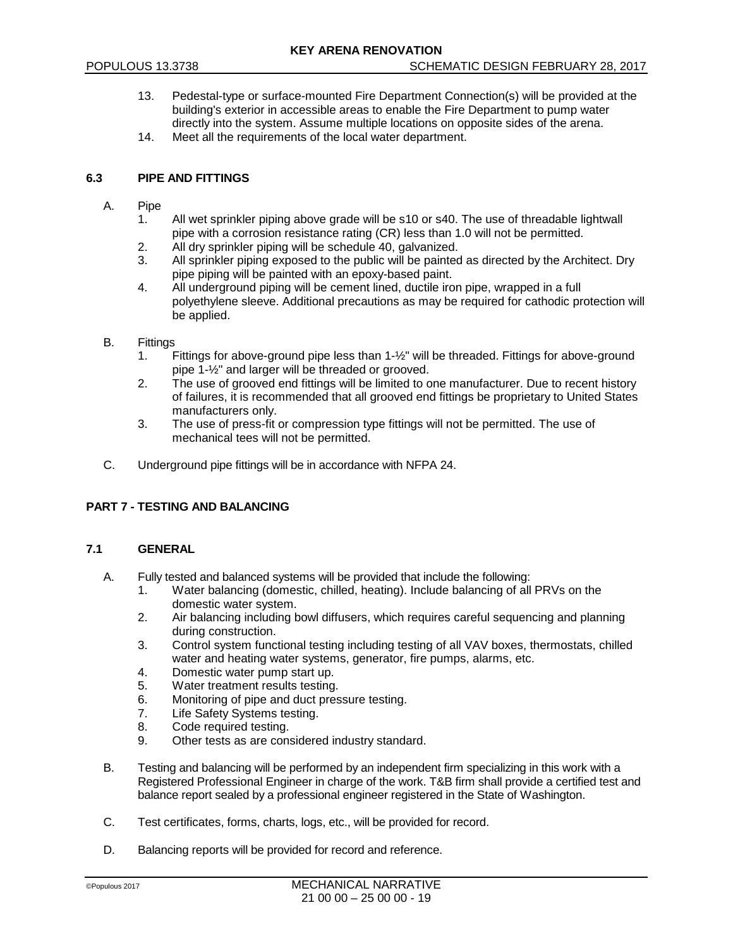- 13. Pedestal-type or surface-mounted Fire Department Connection(s) will be provided at the building's exterior in accessible areas to enable the Fire Department to pump water directly into the system. Assume multiple locations on opposite sides of the arena.
- 14. Meet all the requirements of the local water department.

## **6.3 PIPE AND FITTINGS**

- A. Pipe
	- All wet sprinkler piping above grade will be s10 or s40. The use of threadable lightwall pipe with a corrosion resistance rating (CR) less than 1.0 will not be permitted.
	- 2. All dry sprinkler piping will be schedule 40, galvanized.
	- 3. All sprinkler piping exposed to the public will be painted as directed by the Architect. Dry pipe piping will be painted with an epoxy-based paint.
	- 4. All underground piping will be cement lined, ductile iron pipe, wrapped in a full polyethylene sleeve. Additional precautions as may be required for cathodic protection will be applied.
- B. Fittings
	- 1. Fittings for above-ground pipe less than 1-½" will be threaded. Fittings for above-ground pipe 1-½" and larger will be threaded or grooved.
	- 2. The use of grooved end fittings will be limited to one manufacturer. Due to recent history of failures, it is recommended that all grooved end fittings be proprietary to United States manufacturers only.
	- 3. The use of press-fit or compression type fittings will not be permitted. The use of mechanical tees will not be permitted.
- C. Underground pipe fittings will be in accordance with NFPA 24.

## **PART 7 - TESTING AND BALANCING**

### **7.1 GENERAL**

- A. Fully tested and balanced systems will be provided that include the following:
	- 1. Water balancing (domestic, chilled, heating). Include balancing of all PRVs on the domestic water system.
	- 2. Air balancing including bowl diffusers, which requires careful sequencing and planning during construction.
	- 3. Control system functional testing including testing of all VAV boxes, thermostats, chilled water and heating water systems, generator, fire pumps, alarms, etc.
	- 4. Domestic water pump start up.
	- 5. Water treatment results testing.
	- 6. Monitoring of pipe and duct pressure testing.<br>7. Life Safety Systems testing.
	- Life Safety Systems testing.
	- 8. Code required testing.
	- 9. Other tests as are considered industry standard.
- B. Testing and balancing will be performed by an independent firm specializing in this work with a Registered Professional Engineer in charge of the work. T&B firm shall provide a certified test and balance report sealed by a professional engineer registered in the State of Washington.
- C. Test certificates, forms, charts, logs, etc., will be provided for record.
- D. Balancing reports will be provided for record and reference.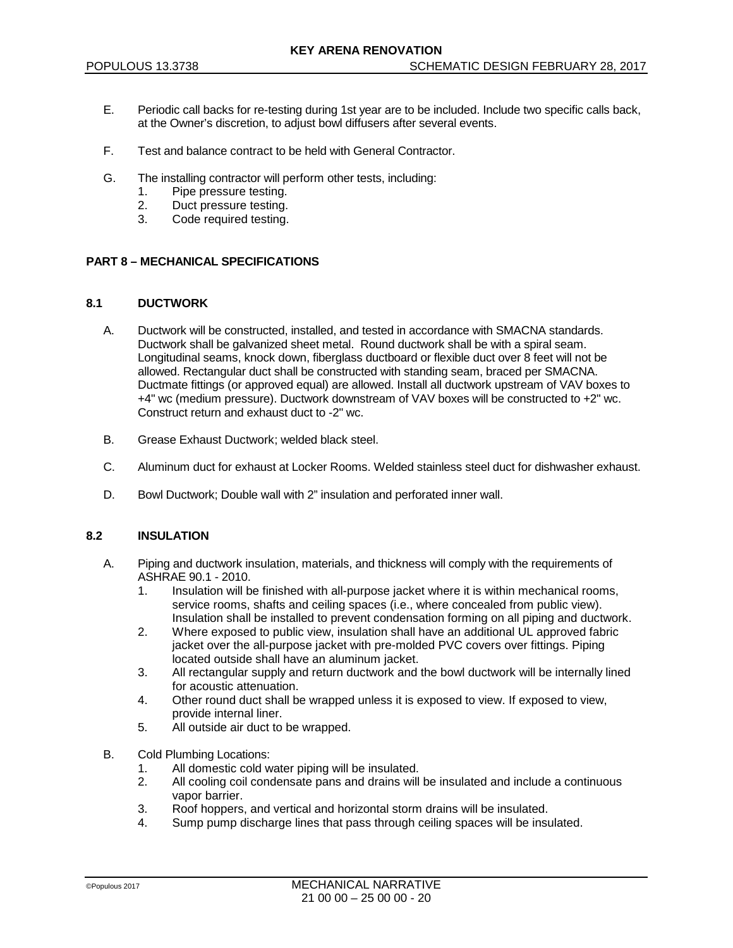- E. Periodic call backs for re-testing during 1st year are to be included. Include two specific calls back, at the Owner's discretion, to adjust bowl diffusers after several events.
- F. Test and balance contract to be held with General Contractor.
- G. The installing contractor will perform other tests, including:
	- 1. Pipe pressure testing.<br>2. Duct pressure testing.
	- Duct pressure testing.
	- 3. Code required testing.

### **PART 8 – MECHANICAL SPECIFICATIONS**

### **8.1 DUCTWORK**

- A. Ductwork will be constructed, installed, and tested in accordance with SMACNA standards. Ductwork shall be galvanized sheet metal. Round ductwork shall be with a spiral seam. Longitudinal seams, knock down, fiberglass ductboard or flexible duct over 8 feet will not be allowed. Rectangular duct shall be constructed with standing seam, braced per SMACNA. Ductmate fittings (or approved equal) are allowed. Install all ductwork upstream of VAV boxes to +4" wc (medium pressure). Ductwork downstream of VAV boxes will be constructed to +2" wc. Construct return and exhaust duct to -2" wc.
- B. Grease Exhaust Ductwork; welded black steel.
- C. Aluminum duct for exhaust at Locker Rooms. Welded stainless steel duct for dishwasher exhaust.
- D. Bowl Ductwork; Double wall with 2" insulation and perforated inner wall.

## **8.2 INSULATION**

- A. Piping and ductwork insulation, materials, and thickness will comply with the requirements of ASHRAE 90.1 - 2010.
	- 1. Insulation will be finished with all-purpose jacket where it is within mechanical rooms, service rooms, shafts and ceiling spaces (i.e., where concealed from public view). Insulation shall be installed to prevent condensation forming on all piping and ductwork.
	- 2. Where exposed to public view, insulation shall have an additional UL approved fabric jacket over the all-purpose jacket with pre-molded PVC covers over fittings. Piping located outside shall have an aluminum jacket.
	- 3. All rectangular supply and return ductwork and the bowl ductwork will be internally lined for acoustic attenuation.
	- 4. Other round duct shall be wrapped unless it is exposed to view. If exposed to view, provide internal liner.
	- 5. All outside air duct to be wrapped.
- B. Cold Plumbing Locations:
	- 1. All domestic cold water piping will be insulated.
	- 2. All cooling coil condensate pans and drains will be insulated and include a continuous vapor barrier.
	- 3. Roof hoppers, and vertical and horizontal storm drains will be insulated.<br>4. Sump pump discharge lines that pass through ceiling spaces will be insul
	- Sump pump discharge lines that pass through ceiling spaces will be insulated.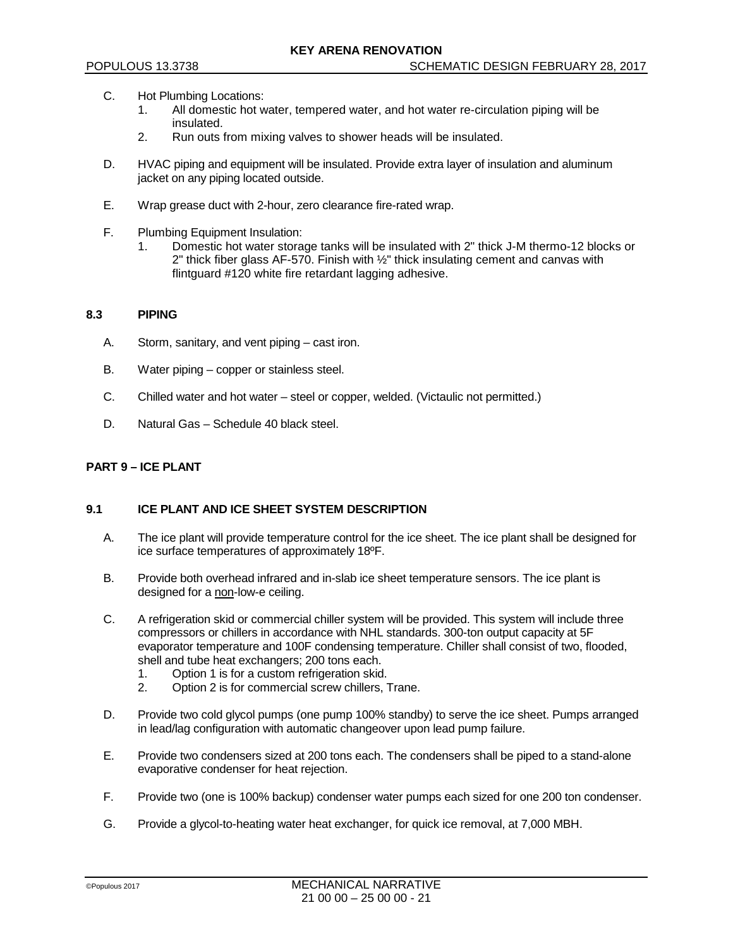- C. Hot Plumbing Locations:
	- 1. All domestic hot water, tempered water, and hot water re-circulation piping will be insulated.
	- 2. Run outs from mixing valves to shower heads will be insulated.
- D. HVAC piping and equipment will be insulated. Provide extra layer of insulation and aluminum jacket on any piping located outside.
- E. Wrap grease duct with 2-hour, zero clearance fire-rated wrap.
- F. Plumbing Equipment Insulation:
	- 1. Domestic hot water storage tanks will be insulated with 2" thick J-M thermo-12 blocks or 2" thick fiber glass AF-570. Finish with  $\frac{1}{2}$ " thick insulating cement and canvas with flintguard #120 white fire retardant lagging adhesive.

#### **8.3 PIPING**

- A. Storm, sanitary, and vent piping cast iron.
- B. Water piping copper or stainless steel.
- C. Chilled water and hot water steel or copper, welded. (Victaulic not permitted.)
- D. Natural Gas Schedule 40 black steel.

## **PART 9 – ICE PLANT**

## **9.1 ICE PLANT AND ICE SHEET SYSTEM DESCRIPTION**

- A. The ice plant will provide temperature control for the ice sheet. The ice plant shall be designed for ice surface temperatures of approximately 18ºF.
- B. Provide both overhead infrared and in-slab ice sheet temperature sensors. The ice plant is designed for a non-low-e ceiling.
- C. A refrigeration skid or commercial chiller system will be provided. This system will include three compressors or chillers in accordance with NHL standards. 300-ton output capacity at 5F evaporator temperature and 100F condensing temperature. Chiller shall consist of two, flooded, shell and tube heat exchangers; 200 tons each.
	- 1. Option 1 is for a custom refrigeration skid.<br>2. Option 2 is for commercial screw chillers.
	- 2. Option 2 is for commercial screw chillers, Trane.
- D. Provide two cold glycol pumps (one pump 100% standby) to serve the ice sheet. Pumps arranged in lead/lag configuration with automatic changeover upon lead pump failure.
- E. Provide two condensers sized at 200 tons each. The condensers shall be piped to a stand-alone evaporative condenser for heat rejection.
- F. Provide two (one is 100% backup) condenser water pumps each sized for one 200 ton condenser.
- G. Provide a glycol-to-heating water heat exchanger, for quick ice removal, at 7,000 MBH.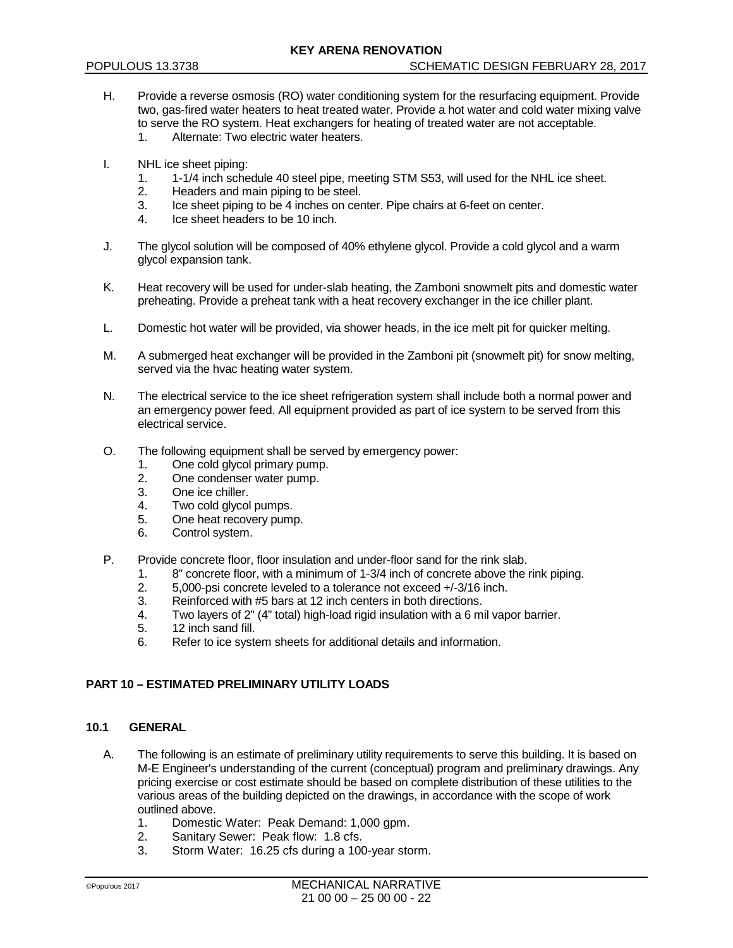- H. Provide a reverse osmosis (RO) water conditioning system for the resurfacing equipment. Provide two, gas-fired water heaters to heat treated water. Provide a hot water and cold water mixing valve to serve the RO system. Heat exchangers for heating of treated water are not acceptable.<br>1 Alternate: Two electric water heaters Alternate: Two electric water heaters.
	-
- I. NHL ice sheet piping:
	- 1. 1-1/4 inch schedule 40 steel pipe, meeting STM S53, will used for the NHL ice sheet.<br>2. Headers and main piping to be steel.
	- 2. Headers and main piping to be steel.<br>3. Ice sheet piping to be 4 inches on cer-
	- Ice sheet piping to be 4 inches on center. Pipe chairs at 6-feet on center.
	- 4. Ice sheet headers to be 10 inch.
- J. The glycol solution will be composed of 40% ethylene glycol. Provide a cold glycol and a warm glycol expansion tank.
- K. Heat recovery will be used for under-slab heating, the Zamboni snowmelt pits and domestic water preheating. Provide a preheat tank with a heat recovery exchanger in the ice chiller plant.
- L. Domestic hot water will be provided, via shower heads, in the ice melt pit for quicker melting.
- M. A submerged heat exchanger will be provided in the Zamboni pit (snowmelt pit) for snow melting, served via the hvac heating water system.
- N. The electrical service to the ice sheet refrigeration system shall include both a normal power and an emergency power feed. All equipment provided as part of ice system to be served from this electrical service.
- O. The following equipment shall be served by emergency power:
	- 1. One cold glycol primary pump.
	- 2. One condenser water pump.
	- 3. One ice chiller.
	- 4. Two cold glycol pumps.<br>5. One heat recovery pum
	- 5. One heat recovery pump.<br>6. Control system.
	- Control system.
- P. Provide concrete floor, floor insulation and under-floor sand for the rink slab.
	- 1. 8" concrete floor, with a minimum of 1-3/4 inch of concrete above the rink piping.<br>2. 5,000-psi concrete leveled to a tolerance not exceed +/-3/16 inch.
	- 2. 5,000-psi concrete leveled to a tolerance not exceed +/-3/16 inch.<br>3. Reinforced with #5 bars at 12 inch centers in both directions.
	- 3. Reinforced with #5 bars at 12 inch centers in both directions.<br>4 Two lavers of 2" (4" total) bigh-load rigid insulation with a 6 m
	- Two layers of 2" (4" total) high-load rigid insulation with a 6 mil vapor barrier.
	- 5. 12 inch sand fill.
	- 6. Refer to ice system sheets for additional details and information.

# **PART 10 – ESTIMATED PRELIMINARY UTILITY LOADS**

### **10.1 GENERAL**

- A. The following is an estimate of preliminary utility requirements to serve this building. It is based on M-E Engineer's understanding of the current (conceptual) program and preliminary drawings. Any pricing exercise or cost estimate should be based on complete distribution of these utilities to the various areas of the building depicted on the drawings, in accordance with the scope of work outlined above.<br>1 Domestic
	- 1. Domestic Water: Peak Demand: 1,000 gpm.<br>2. Sanitary Sewer: Peak flow: 1.8 cfs.
	- Sanitary Sewer: Peak flow: 1.8 cfs.
	- 3. Storm Water: 16.25 cfs during a 100-year storm.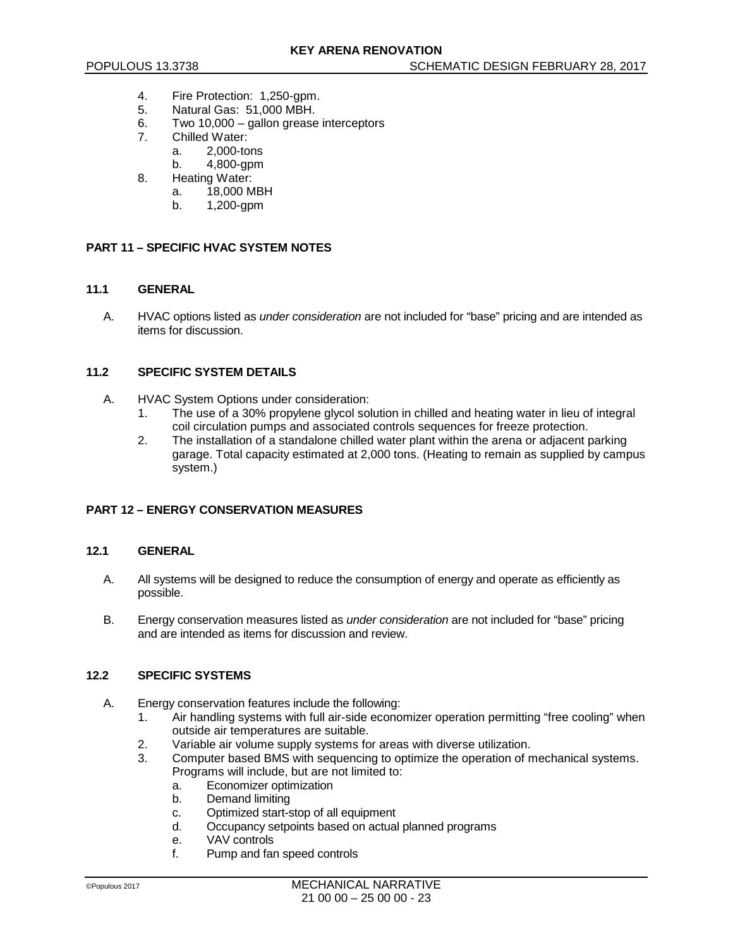- 4. Fire Protection: 1,250-gpm.
- 5. Natural Gas: 51,000 MBH.
- 6. Two 10,000 gallon grease interceptors<br>7 Chilled Water:
- Chilled Water:
	- a. 2,000-tons
		- b. 4,800-gpm
- 8. Heating Water:
	- a. 18,000 MBH
	- b. 1,200-gpm

## **PART 11 – SPECIFIC HVAC SYSTEM NOTES**

### **11.1 GENERAL**

A. HVAC options listed as *under consideration* are not included for "base" pricing and are intended as items for discussion.

## **11.2 SPECIFIC SYSTEM DETAILS**

- A. HVAC System Options under consideration:
	- 1. The use of a 30% propylene glycol solution in chilled and heating water in lieu of integral coil circulation pumps and associated controls sequences for freeze protection.
	- 2. The installation of a standalone chilled water plant within the arena or adjacent parking garage. Total capacity estimated at 2,000 tons. (Heating to remain as supplied by campus system.)

## **PART 12 – ENERGY CONSERVATION MEASURES**

### **12.1 GENERAL**

- A. All systems will be designed to reduce the consumption of energy and operate as efficiently as possible.
- B. Energy conservation measures listed as *under consideration* are not included for "base" pricing and are intended as items for discussion and review.

### **12.2 SPECIFIC SYSTEMS**

- A. Energy conservation features include the following:
	- 1. Air handling systems with full air-side economizer operation permitting "free cooling" when outside air temperatures are suitable.
	- 2. Variable air volume supply systems for areas with diverse utilization.<br>3. Computer based BMS with sequencing to optimize the operation of n
	- Computer based BMS with sequencing to optimize the operation of mechanical systems. Programs will include, but are not limited to:
		- a. Economizer optimization
		- b. Demand limiting
		- c. Optimized start-stop of all equipment<br>d. Occupancy setpoints based on actual
		- Occupancy setpoints based on actual planned programs
		- e. VAV controls
		- f. Pump and fan speed controls